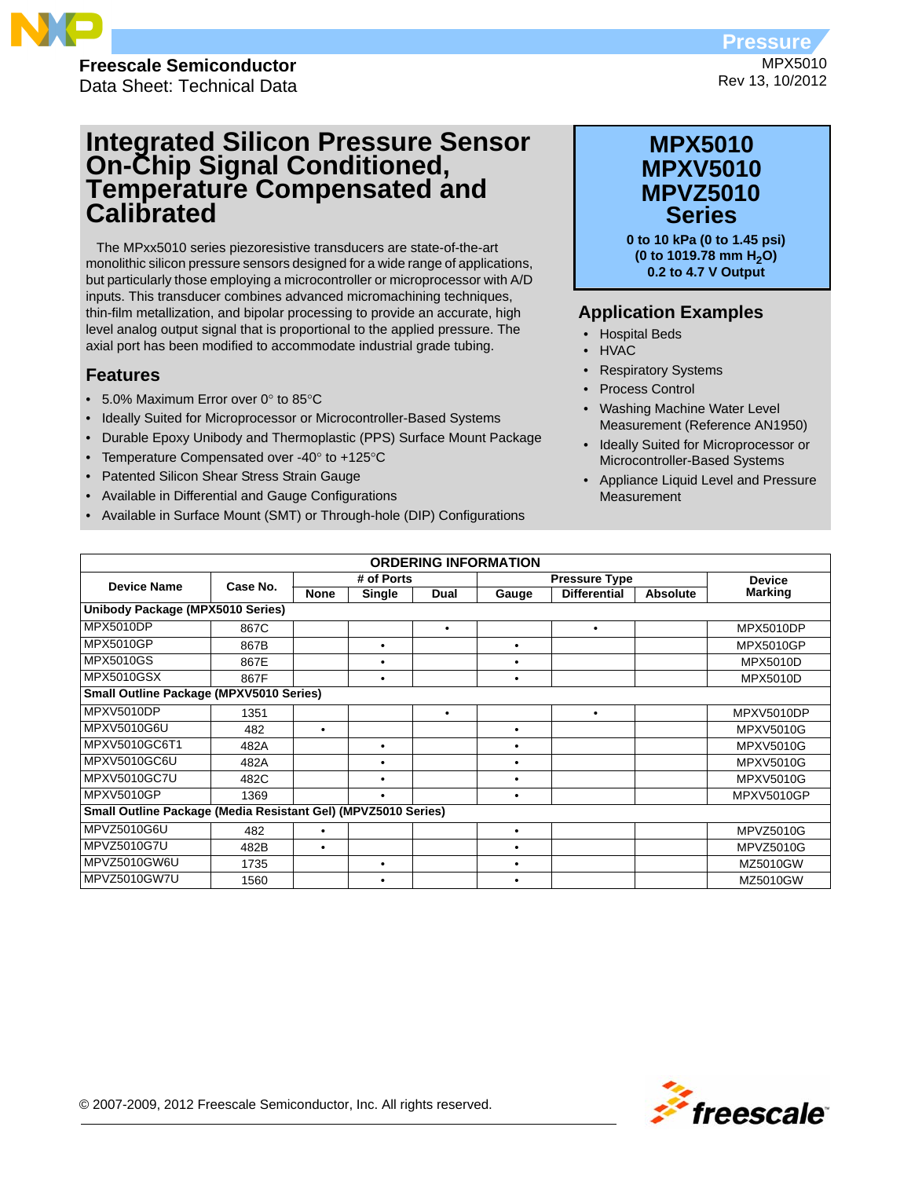

**Freescale Semiconductor** Data Sheet: Technical Data

# **Integrated Silicon Pressure Sensor On-Chip Signal Conditioned, Temperature Compensated and Calibrated**

The MPxx5010 series piezoresistive transducers are state-of-the-art monolithic silicon pressure sensors designed for a wide range of applications, but particularly those employing a microcontroller or microprocessor with A/D inputs. This transducer combines advanced micromachining techniques, thin-film metallization, and bipolar processing to provide an accurate, high level analog output signal that is proportional to the applied pressure. The axial port has been modified to accommodate industrial grade tubing.

### **Features**

- 5.0% Maximum Error over  $0^\circ$  to 85 $^\circ$ C
- Ideally Suited for Microprocessor or Microcontroller-Based Systems
- Durable Epoxy Unibody and Thermoplastic (PPS) Surface Mount Package
- Temperature Compensated over -40° to +125°C
- Patented Silicon Shear Stress Strain Gauge
- Available in Differential and Gauge Configurations
- Available in Surface Mount (SMT) or Through-hole (DIP) Configurations

## **MPX5010 Series MPXV5010 MPVZ5010**

**0 to 10 kPa (0 to 1.45 psi) (0 to 1019.78 mm H2O) 0.2 to 4.7 V Output** 

### **Application Examples**

- Hospital Beds
- HVAC
- Respiratory Systems
- Process Control
- Washing Machine Water Level Measurement (Reference AN1950)
- Ideally Suited for Microprocessor or Microcontroller-Based Systems
- Appliance Liquid Level and Pressure **Measurement**

| <b>ORDERING INFORMATION</b>                                   |                                  |             |            |           |           |                      |                 |                   |
|---------------------------------------------------------------|----------------------------------|-------------|------------|-----------|-----------|----------------------|-----------------|-------------------|
| <b>Device Name</b>                                            | Case No.                         |             | # of Ports |           |           | <b>Pressure Type</b> |                 | <b>Device</b>     |
|                                                               |                                  | <b>None</b> | Single     | Dual      | Gauge     | <b>Differential</b>  | <b>Absolute</b> | <b>Marking</b>    |
|                                                               | Unibody Package (MPX5010 Series) |             |            |           |           |                      |                 |                   |
| <b>MPX5010DP</b>                                              | 867C                             |             |            | $\bullet$ |           | ٠                    |                 | <b>MPX5010DP</b>  |
| <b>MPX5010GP</b>                                              | 867B                             |             | $\bullet$  |           | ٠         |                      |                 | <b>MPX5010GP</b>  |
| <b>MPX5010GS</b>                                              | 867E                             |             | ٠          |           | ٠         |                      |                 | <b>MPX5010D</b>   |
| <b>MPX5010GSX</b>                                             | 867F                             |             | ٠          |           | $\bullet$ |                      |                 | <b>MPX5010D</b>   |
| <b>Small Outline Package (MPXV5010 Series)</b>                |                                  |             |            |           |           |                      |                 |                   |
| MPXV5010DP                                                    | 1351                             |             |            | $\bullet$ |           | ٠                    |                 | MPXV5010DP        |
| MPXV5010G6U                                                   | 482                              | ٠           |            |           | ٠         |                      |                 | <b>MPXV5010G</b>  |
| MPXV5010GC6T1                                                 | 482A                             |             |            |           | ٠         |                      |                 | <b>MPXV5010G</b>  |
| MPXV5010GC6U                                                  | 482A                             |             | ٠          |           | ٠         |                      |                 | <b>MPXV5010G</b>  |
| <b>MPXV5010GC7U</b>                                           | 482C                             |             | ٠          |           | ٠         |                      |                 | <b>MPXV5010G</b>  |
| <b>MPXV5010GP</b>                                             | 1369                             |             | ٠          |           | ٠         |                      |                 | <b>MPXV5010GP</b> |
| Small Outline Package (Media Resistant Gel) (MPVZ5010 Series) |                                  |             |            |           |           |                      |                 |                   |
| MPVZ5010G6U                                                   | 482                              | ٠           |            |           | $\bullet$ |                      |                 | <b>MPVZ5010G</b>  |
| MPVZ5010G7U                                                   | 482B                             | ٠           |            |           | ٠         |                      |                 | <b>MPVZ5010G</b>  |
| MPVZ5010GW6U                                                  | 1735                             |             |            |           | ٠         |                      |                 | MZ5010GW          |
| MPVZ5010GW7U                                                  | 1560                             |             | ٠          |           |           |                      |                 | MZ5010GW          |



MPX5010 Rev 13, 10/2012 **Pressure**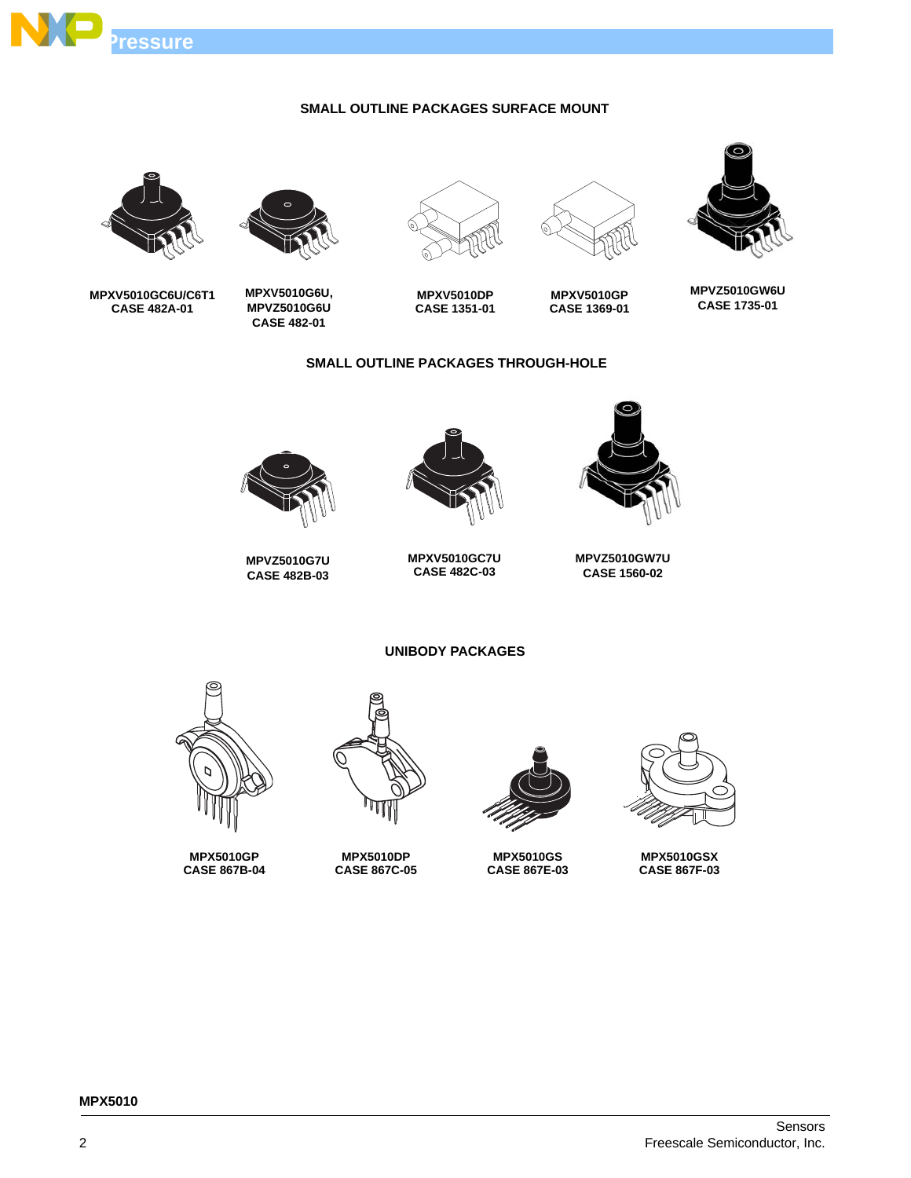

### **SMALL OUTLINE PACKAGES SURFACE MOUNT**







**MPXV5010DP CASE 1351-01**

**SMALL OUTLINE PACKAGES THROUGH-HOLE**



**MPXV5010G6U, MPVZ5010G6U CASE 482-01**



**MPXV5010GC6U/C6T1 CASE 482A-01**



**MPXV5010GP CASE 1369-01**

**MPVZ5010GW7U CASE 1560-02**



**MPXV5010GC7U CASE 482C-03**



**MPVZ5010G7U CASE 482B-03**

**UNIBODY PACKAGES**



**MPX5010GP CASE 867B-04**



**MPX5010DP CASE 867C-05**



**MPX5010GS CASE 867E-03**



**MPX5010GSX CASE 867F-03**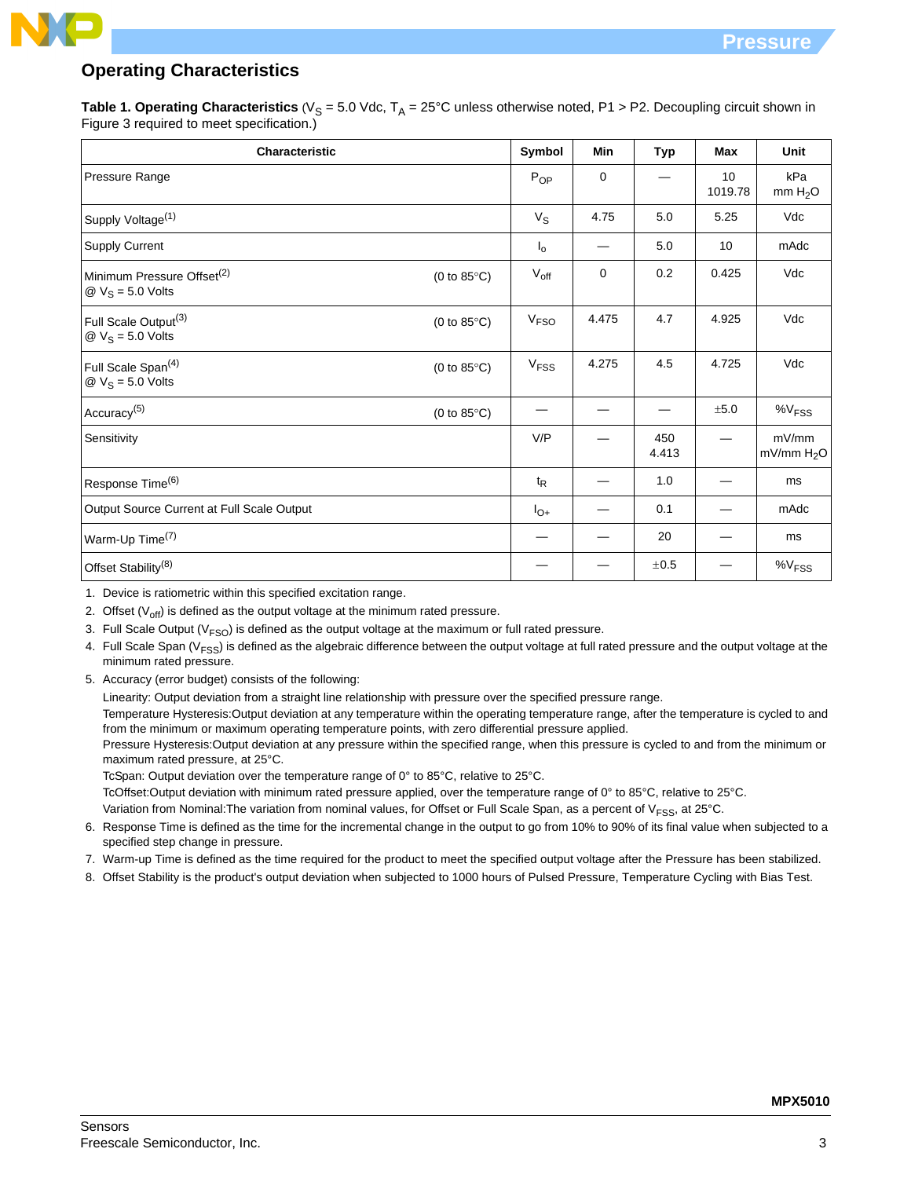## **Operating Characteristics**

**Table 1. Operating Characteristics** ( $V_S = 5.0$  Vdc,  $T_A = 25$ °C unless otherwise noted, P1 > P2. Decoupling circuit shown in Figure 3 required to meet specification.)

| Characteristic                                                                         |                       | Symbol           | Min   | <b>Typ</b>   | <b>Max</b>    | Unit                            |
|----------------------------------------------------------------------------------------|-----------------------|------------------|-------|--------------|---------------|---------------------------------|
| Pressure Range                                                                         |                       | $P_{OP}$         | 0     |              | 10<br>1019.78 | kPa<br>mm H <sub>2</sub> O      |
| Supply Voltage <sup>(1)</sup>                                                          |                       | $V_{\rm S}$      | 4.75  | 5.0          | 5.25          | Vdc                             |
| <b>Supply Current</b>                                                                  |                       | $I_{\circ}$      |       | 5.0          | 10            | mAdc                            |
| Minimum Pressure Offset <sup>(2)</sup><br>$\textcircled{2}$ V <sub>S</sub> = 5.0 Volts | (0 to $85^{\circ}$ C) | $V_{\text{off}}$ | 0     | 0.2          | 0.425         | Vdc                             |
| Full Scale Output <sup>(3)</sup><br>$\textcircled{2}$ V <sub>S</sub> = 5.0 Volts       | (0 to 85 $\degree$ C) | V <sub>FSO</sub> | 4.475 | 4.7          | 4.925         | Vdc                             |
| Full Scale Span <sup>(4)</sup><br>$\textcircled{2}$ V <sub>S</sub> = 5.0 Volts         | (0 to 85 $\degree$ C) | V <sub>FSS</sub> | 4.275 | 4.5          | 4.725         | Vdc                             |
| Accuracy <sup>(5)</sup>                                                                | (0 to 85 $\degree$ C) |                  |       |              | ±5.0          | $\%V$ <sub>FSS</sub>            |
| Sensitivity                                                                            |                       | V/P              |       | 450<br>4.413 |               | mV/mm<br>mV/mm H <sub>2</sub> O |
| Response Time <sup>(6)</sup>                                                           |                       | $t_{\mathsf{R}}$ |       | 1.0          |               | ms                              |
| Output Source Current at Full Scale Output                                             |                       | $I_{O+}$         |       | 0.1          |               | mAdc                            |
| Warm-Up Time <sup>(7)</sup>                                                            |                       |                  |       | 20           |               | ms                              |
| Offset Stability <sup>(8)</sup>                                                        |                       |                  |       | ±0.5         |               | %V <sub>FSS</sub>               |

1. Device is ratiometric within this specified excitation range.

2. Offset  $(V_{off})$  is defined as the output voltage at the minimum rated pressure.

- 3. Full Scale Output ( $V<sub>FSO</sub>$ ) is defined as the output voltage at the maximum or full rated pressure.
- 4. Full Scale Span ( $V<sub>FSS</sub>$ ) is defined as the algebraic difference between the output voltage at full rated pressure and the output voltage at the minimum rated pressure.
- 5. Accuracy (error budget) consists of the following:

Linearity: Output deviation from a straight line relationship with pressure over the specified pressure range.

Temperature Hysteresis:Output deviation at any temperature within the operating temperature range, after the temperature is cycled to and from the minimum or maximum operating temperature points, with zero differential pressure applied.

Pressure Hysteresis:Output deviation at any pressure within the specified range, when this pressure is cycled to and from the minimum or maximum rated pressure, at 25°C.

TcSpan: Output deviation over the temperature range of 0° to 85°C, relative to 25°C.

TcOffset:Output deviation with minimum rated pressure applied, over the temperature range of 0° to 85°C, relative to 25°C.

Variation from Nominal: The variation from nominal values, for Offset or Full Scale Span, as a percent of  $V<sub>FSS</sub>$ , at 25°C.

- 6. Response Time is defined as the time for the incremental change in the output to go from 10% to 90% of its final value when subjected to a specified step change in pressure.
- 7. Warm-up Time is defined as the time required for the product to meet the specified output voltage after the Pressure has been stabilized.
- 8. Offset Stability is the product's output deviation when subjected to 1000 hours of Pulsed Pressure, Temperature Cycling with Bias Test.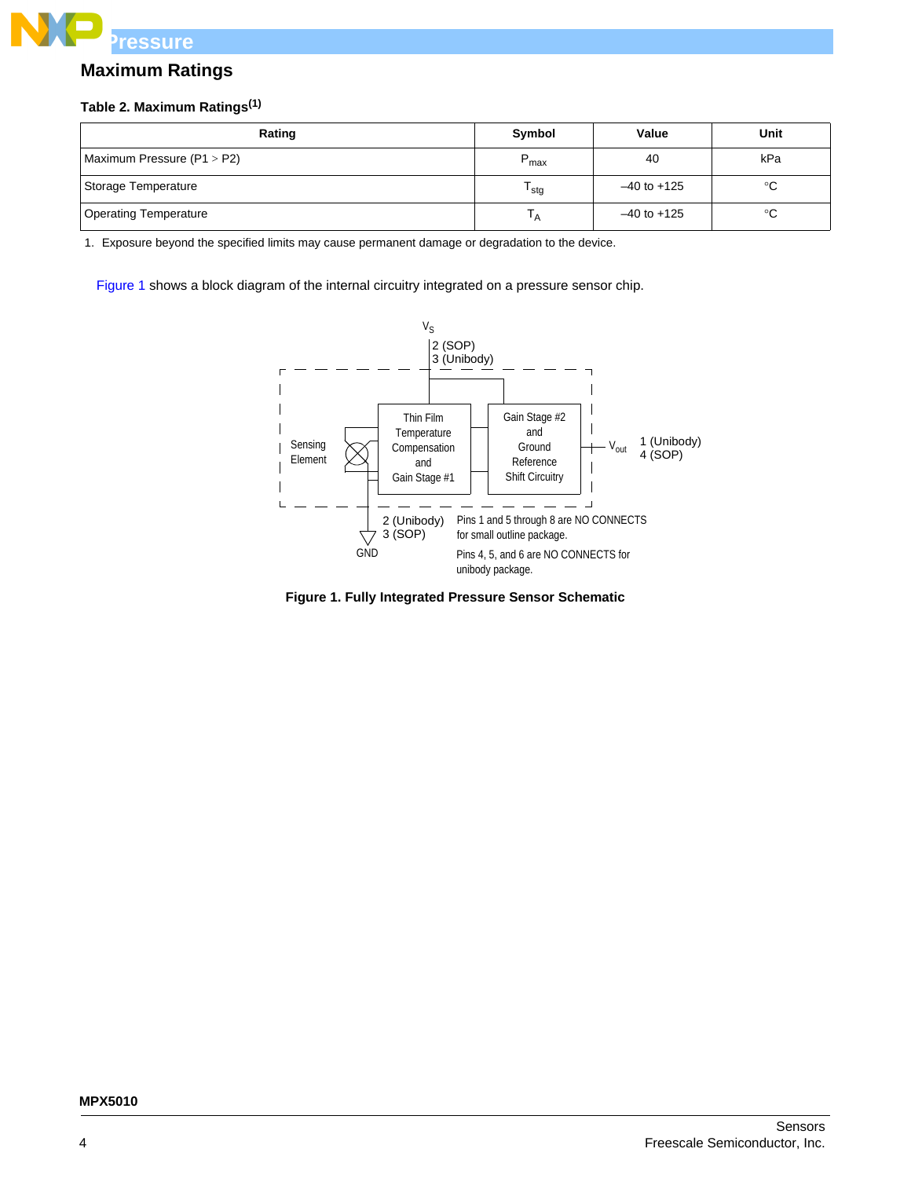

### **Maximum Ratings**

### **Table 2. Maximum Ratings(1)**

| Rating                       | Symbol           | Value           | Unit |
|------------------------------|------------------|-----------------|------|
| Maximum Pressure $(P1 > P2)$ | $P_{max}$        | 40              | kPa  |
| Storage Temperature          | <sup>I</sup> stg | $-40$ to $+125$ | °C   |
| <b>Operating Temperature</b> | ' A              | $-40$ to $+125$ | °C   |

1. Exposure beyond the specified limits may cause permanent damage or degradation to the device.

Figure 1 shows a block diagram of the internal circuitry integrated on a pressure sensor chip.



**Figure 1. Fully Integrated Pressure Sensor Schematic**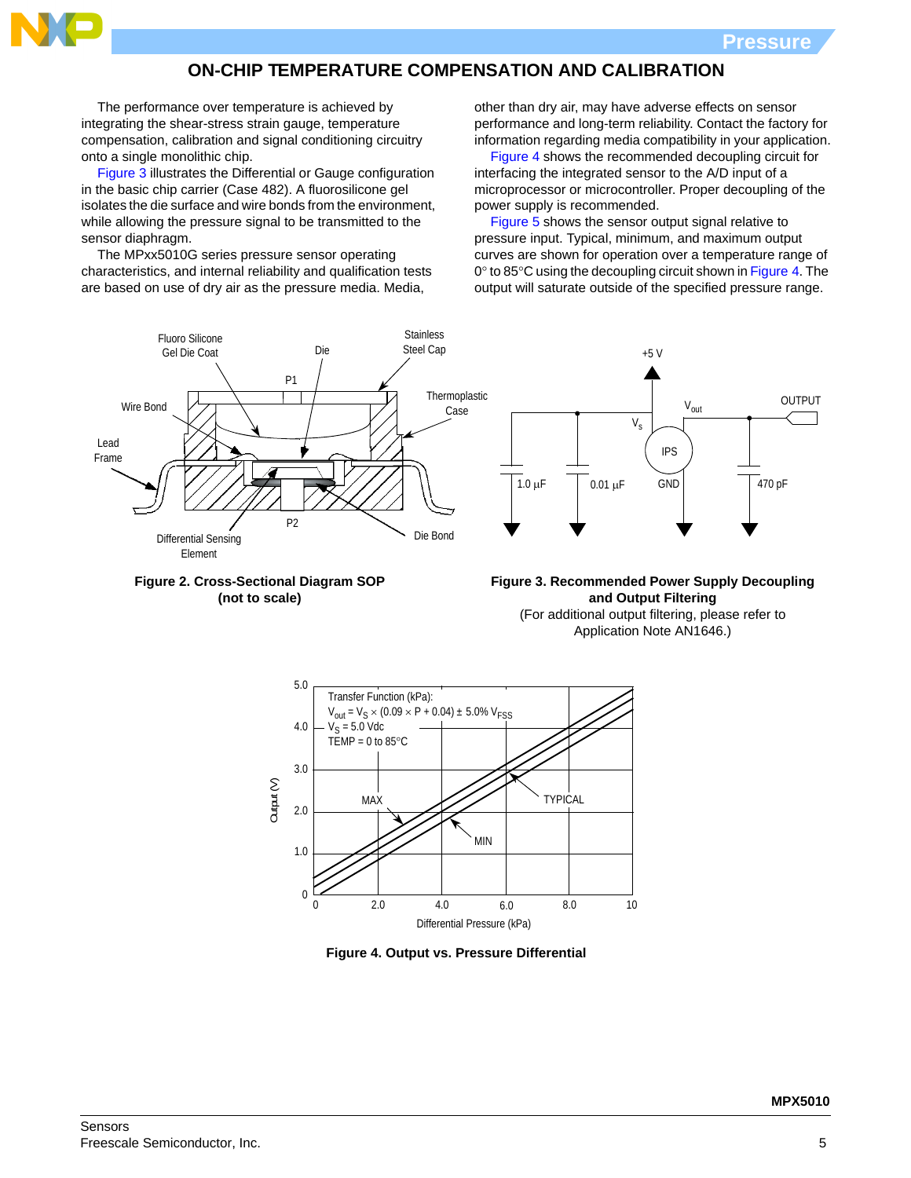

### **ON-CHIP TEMPERATURE COMPENSATION AND CALIBRATION**

The performance over temperature is achieved by integrating the shear-stress strain gauge, temperature compensation, calibration and signal conditioning circuitry onto a single monolithic chip.

Figure 3 illustrates the Differential or Gauge configuration in the basic chip carrier (Case 482). A fluorosilicone gel isolates the die surface and wire bonds from the environment, while allowing the pressure signal to be transmitted to the sensor diaphragm.

The MPxx5010G series pressure sensor operating characteristics, and internal reliability and qualification tests are based on use of dry air as the pressure media. Media,

other than dry air, may have adverse effects on sensor performance and long-term reliability. Contact the factory for information regarding media compatibility in your application.

Figure 4 shows the recommended decoupling circuit for interfacing the integrated sensor to the A/D input of a microprocessor or microcontroller. Proper decoupling of the power supply is recommended.

Figure 5 shows the sensor output signal relative to pressure input. Typical, minimum, and maximum output curves are shown for operation over a temperature range of  $0^\circ$  to 85 $^\circ$ C using the decoupling circuit shown in Figure 4. The output will saturate outside of the specified pressure range.





**Figure 3. Recommended Power Supply Decoupling and Output Filtering** (For additional output filtering, please refer to Application Note AN1646.)



**Figure 4. Output vs. Pressure Differential**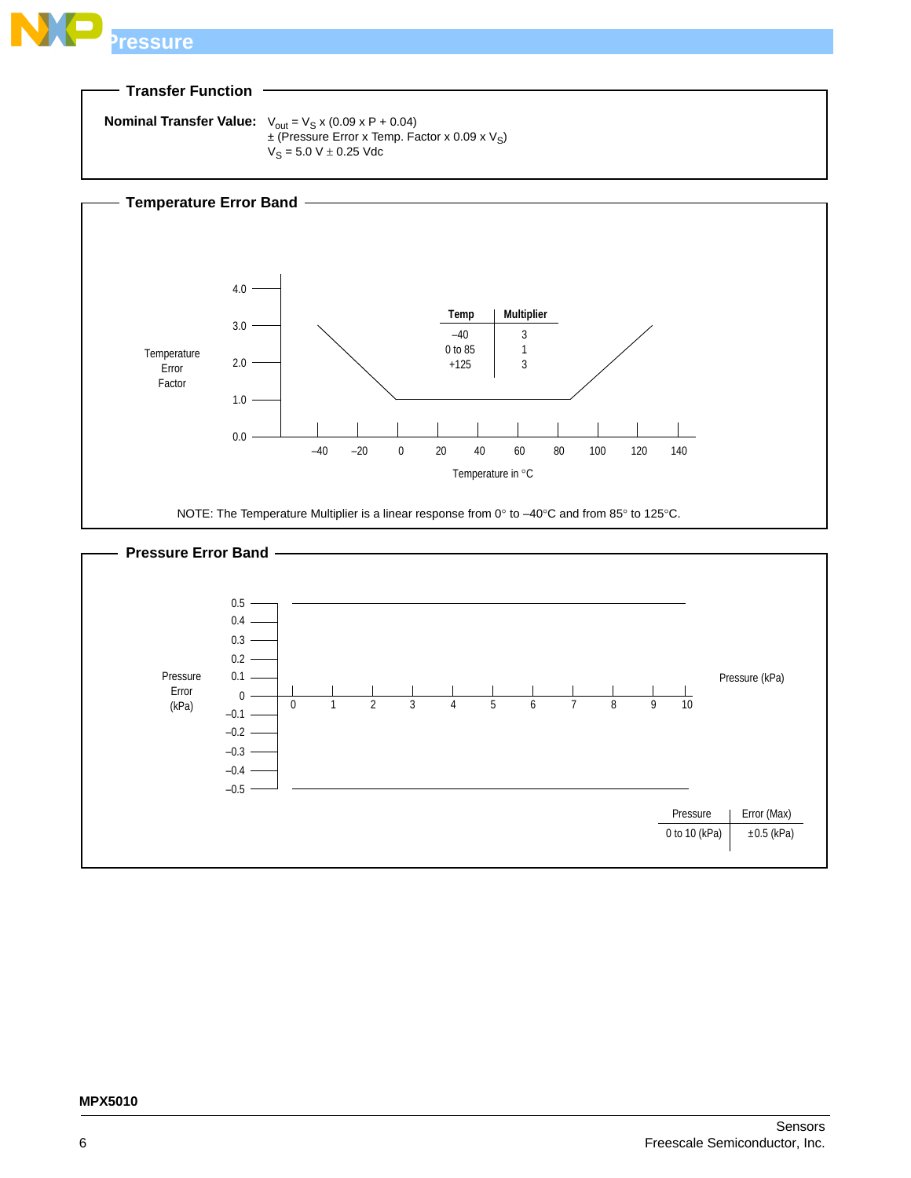

### **Transfer Function**

```
Nominal Transfer Value: V_{\text{out}} = V_S x (0.09 x P + 0.04)\pm (Pressure Error x Temp. Factor x 0.09 x V<sub>S</sub>)
                                   V_S = 5.0 V \pm 0.25 Vdc
```


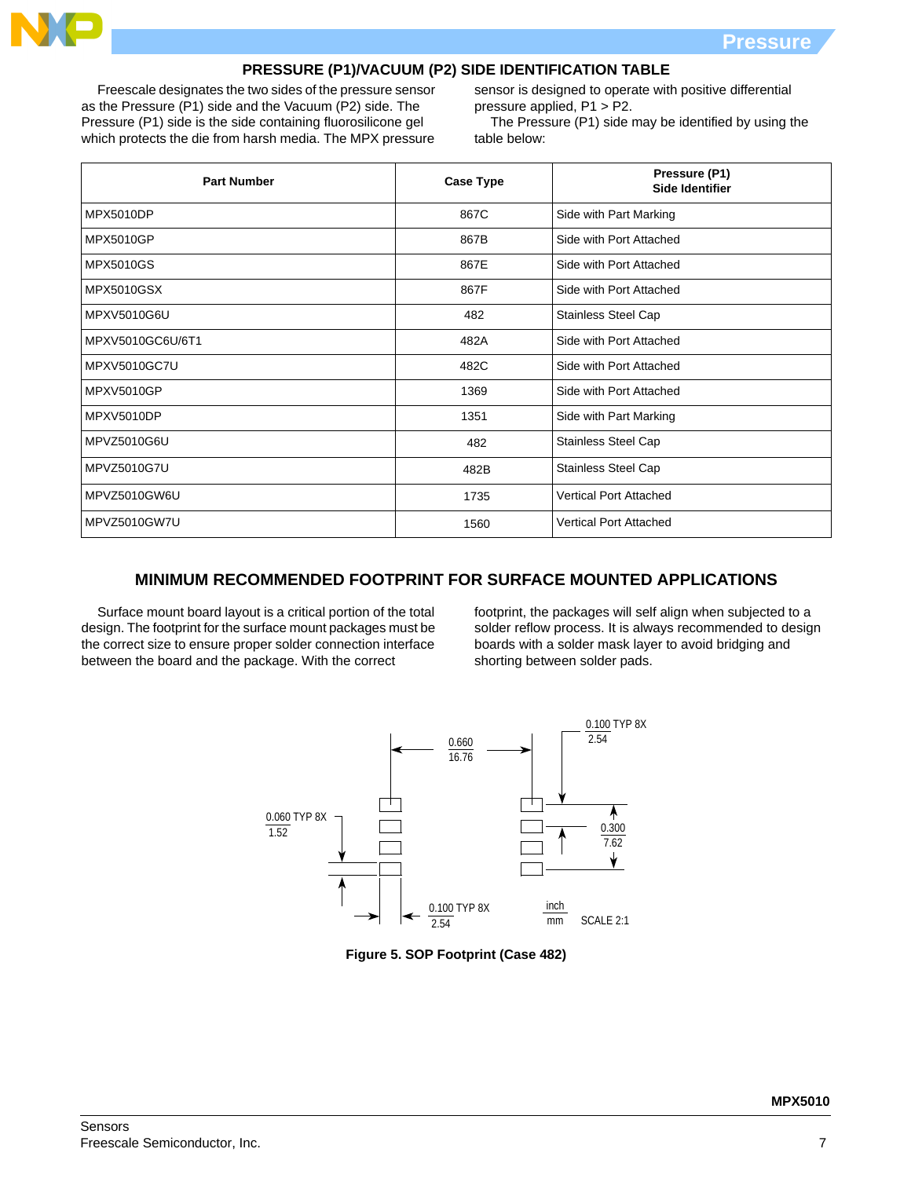

### **PRESSURE (P1)/VACUUM (P2) SIDE IDENTIFICATION TABLE**

Freescale designates the two sides of the pressure sensor as the Pressure (P1) side and the Vacuum (P2) side. The Pressure (P1) side is the side containing fluorosilicone gel which protects the die from harsh media. The MPX pressure sensor is designed to operate with positive differential pressure applied, P1 > P2.

The Pressure (P1) side may be identified by using the table below:

| <b>Part Number</b> | <b>Case Type</b> | Pressure (P1)<br><b>Side Identifier</b> |
|--------------------|------------------|-----------------------------------------|
| <b>MPX5010DP</b>   | 867C             | Side with Part Marking                  |
| <b>MPX5010GP</b>   | 867B             | Side with Port Attached                 |
| <b>MPX5010GS</b>   | 867E             | Side with Port Attached                 |
| <b>MPX5010GSX</b>  | 867F             | Side with Port Attached                 |
| <b>MPXV5010G6U</b> | 482              | Stainless Steel Cap                     |
| MPXV5010GC6U/6T1   | 482A             | Side with Port Attached                 |
| MPXV5010GC7U       | 482C             | Side with Port Attached                 |
| <b>MPXV5010GP</b>  | 1369             | Side with Port Attached                 |
| MPXV5010DP         | 1351             | Side with Part Marking                  |
| MPVZ5010G6U        | 482              | <b>Stainless Steel Cap</b>              |
| MPVZ5010G7U        | 482B             | <b>Stainless Steel Cap</b>              |
| MPVZ5010GW6U       | 1735             | <b>Vertical Port Attached</b>           |
| MPVZ5010GW7U       | 1560             | <b>Vertical Port Attached</b>           |

### **MINIMUM RECOMMENDED FOOTPRINT FOR SURFACE MOUNTED APPLICATIONS**

Surface mount board layout is a critical portion of the total design. The footprint for the surface mount packages must be the correct size to ensure proper solder connection interface between the board and the package. With the correct

footprint, the packages will self align when subjected to a solder reflow process. It is always recommended to design boards with a solder mask layer to avoid bridging and shorting between solder pads.



**Figure 5. SOP Footprint (Case 482)**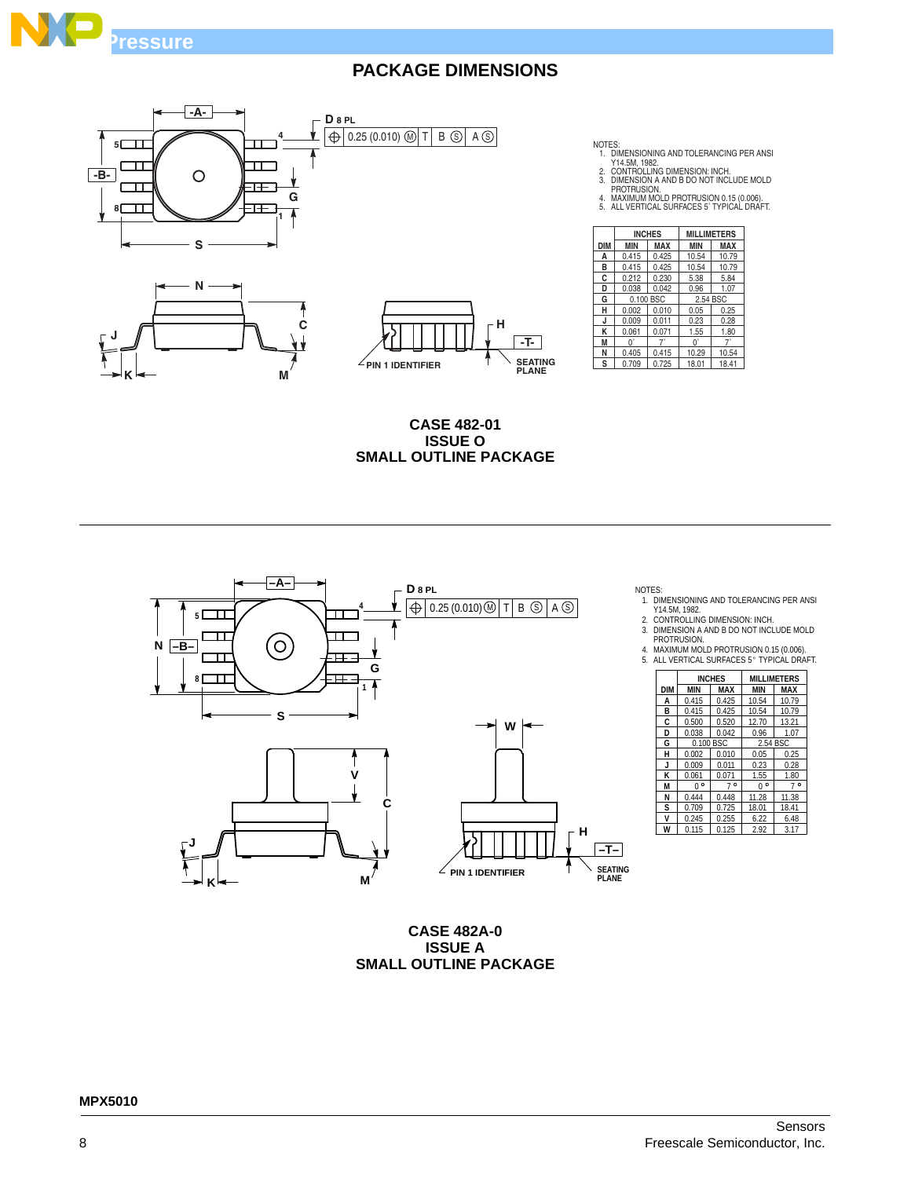







**CASE 482-01 ISSUE O SMALL OUTLINE PACKAGE**



NOTES:

**DIM MIN MAX MIN MAX**<br>**A** 0.415 0.425 10.54 10.79 **INCHES MILLIMETERS**

NOTES:<br>1. DIMENSIONING AND TOLERANCING PER ANSI<br>2. CONTROLLING DIMENSION: INCH.<br>3. DIMENSION A AND B DO NOT INCLUDE MOLD<br>PROTRUSION.<br>4. MAXIMUM MOLD PROTRUSION 0.15 (0.006).<br>5. ALL VERTICAL SURFACES 5`TYPICAL DRAFT.

**B** 0.415 0.425 10.54 10.79<br>**C** 0.212 0.230 5.38 5.84

**D** 0.038 0.042 0.96 1.07<br>**G** 0.100 BSC 2.54 BSC 0.100 BSC 2.54 BSC<br>0.002 0.010 0.05 0.25 **H** 0.002 0.010 0.05 0.25<br>**J** 0.009 0.011 0.23 0.28 **J** 0.009 0.011 0.23 0.28<br>**K** 0.061 0.071 1.55 1.80 **K** 0.061 0.071 1.55 1.8<br> **M** 0<sup>°</sup> 7<sup>°</sup> 0<sup>°</sup> 7<sup>°</sup><br> **N** 0.405 0.415 10.29 10.5 0.061 0.071 1.55 1.80<br>
0<sup>°</sup> 7<sup>°</sup> 0<sup>°</sup> 7<sup>°</sup><br>
0.405 0.415 10.29 10.54

**S** 0.709 0.725 18.01 18.41

**A** 0.415 0.425

 $\begin{array}{|c} 0.212 \end{array}$ 

0.405

1. DIMENSIONING AND TOLERANCING PER ANSI Y14.5M, 1982.

2. CONTROLLING DIMENSION: INCH.

3. DIMENSION A AND B DO NOT INCLUDE MOLD PROTRUSION. 4. MAXIMUM MOLD PROTRUSION 0.15 (0.006). 5. ALL VERTICAL SURFACES 5 TYPICAL DRAFT.



**CASE 482A-0 ISSUE A SMALL OUTLINE PACKAGE**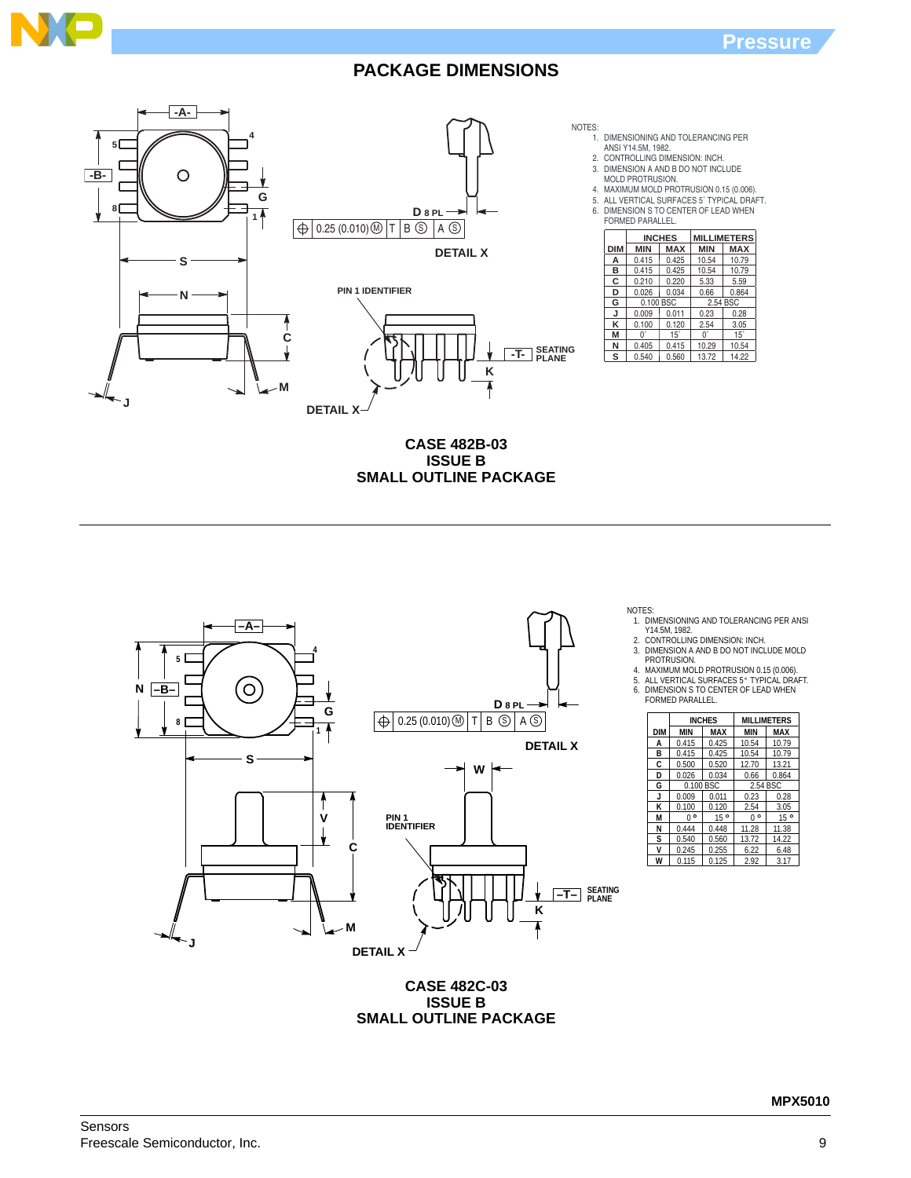



**CASE 482B-03 ISSUE B SMALL OUTLINE PACKAGE** 



NOTES:

1. DIMENSIONING AND TOLERANCING PER ANSI

Y14.5M, 1982. 2. CONTROLLING DIMENSION: INCH. 3. DIMENSION A AND B DO NOT INCLUDE MOLD PROTRUSION.

**INCHES MILLIMETERS MIN MAX MIN MAX**

10.79

0.864 0.28 3.05 15˚

 $0.100$  BSC  $\vert$  2.54

15˚

0.405 0.415 10.29 10.54 0.540 0.560 13.72 14.22

 $0<sup>°</sup>$ 

0.415 0.425 10.54 0.415 0.210 0.425 0.220 10.54 5.33 10.79 5.59 0.026 0.034 0.66 0.009 0.011 0.23 0.100 0.120 2.54

**A B C D G J K M N**

 $0<sup>°</sup>$ 

4. MAXIMUM MOLD PROTRUSION 0.15 (0.006).<br>5. ALL VERTICAL SURFACES 5° TYPICAL DRAFT.

6. DIMENSION S TO CENTER OF LEAD WHEN FORMED PARALLEL.

|            |             | <b>INCHES</b> |            | <b>MILLIMETERS</b> |
|------------|-------------|---------------|------------|--------------------|
| <b>DIM</b> | <b>MIN</b>  | <b>MAX</b>    | <b>MIN</b> | MAX                |
| A          | 0.415       | 0.425         | 10.54      | 10.79              |
| в          | 0.415       | 0.425         | 10.54      | 10.79              |
| C          | 0.500       | 0.520         | 12.70      | 13.21              |
| D          | 0.026       | 0.034         | 0.66       | 0.864              |
| G          |             | 0.100 BSC     |            | 2.54 BSC           |
| J          | 0.009       | 0.011         | 0.23       | 0.28               |
| K          | 0.100       | 0.120         | 2.54       | 3.05               |
| M          | $0^{\circ}$ | $15^{\circ}$  | 0.         | $15^{\circ}$       |
| N          | 0.444       | 0.448         | 11.28      | 11.38              |
| s          | 0.540       | 0.560         | 13.72      | 14.22              |
| v          | 0.245       | 0.255         | 6.22       | 6.48               |
| W          | 0.115       | 0.125         | 2.92       | 3.17               |

**CASE 482C-03 ISSUE B SMALL OUTLINE PACKAGE**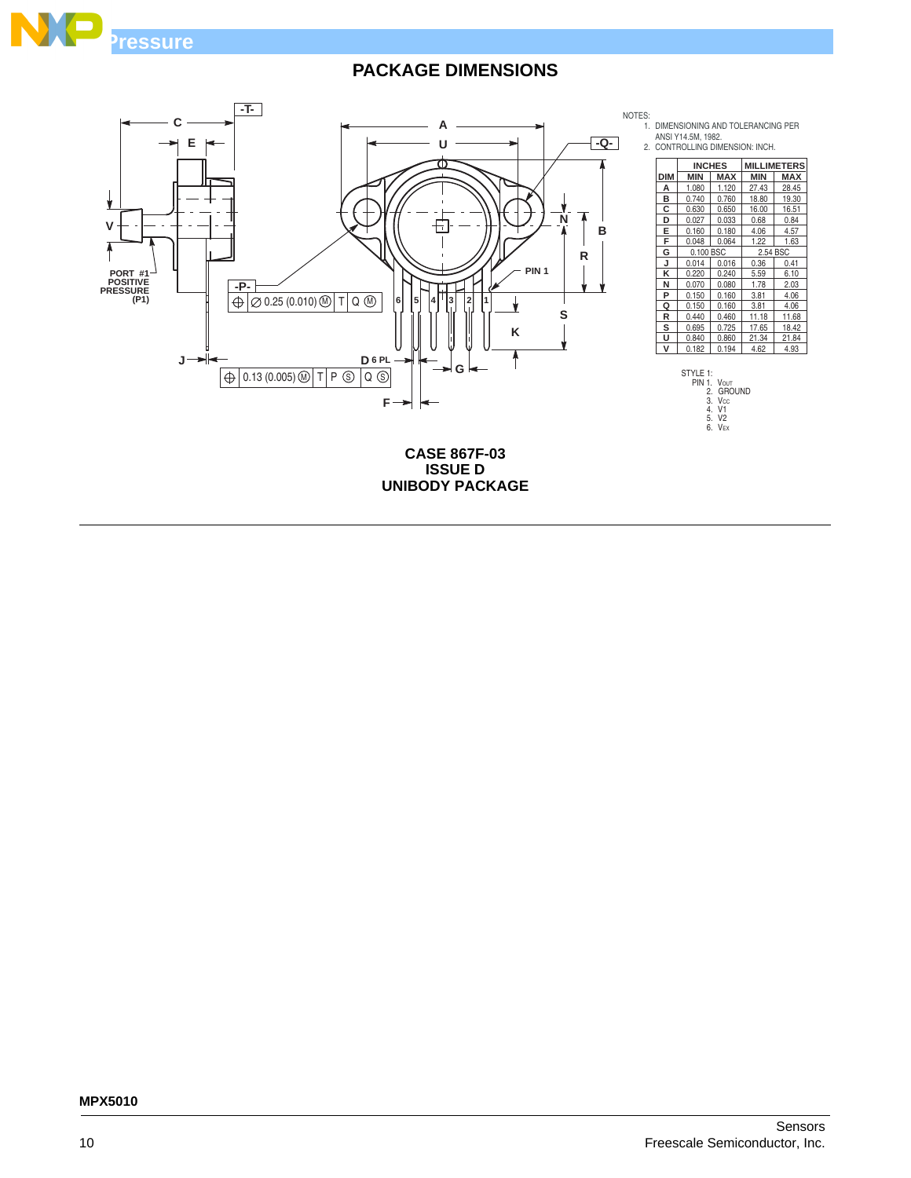

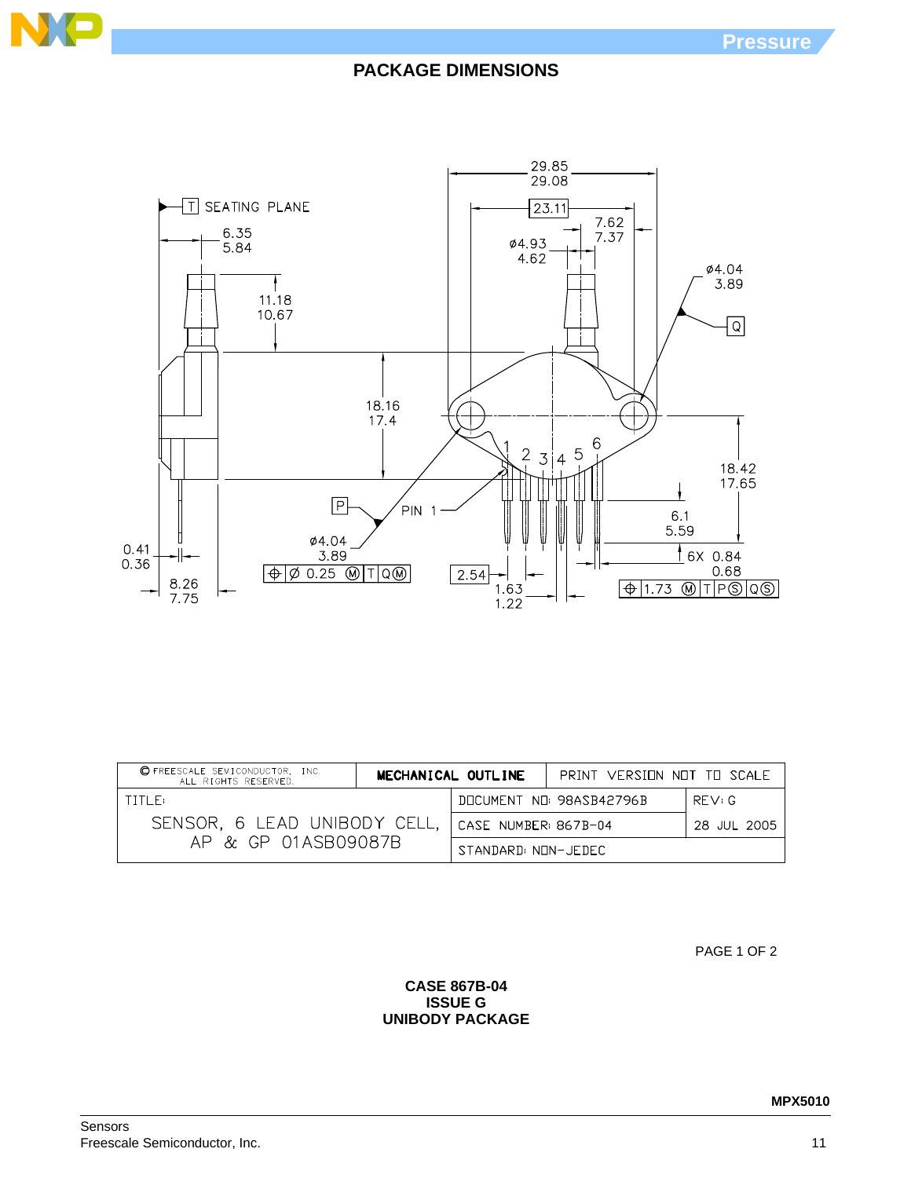



| <b>OFREESCALE SEMICONDUCTOR, INC.</b><br>ALL RIGHTS RESERVED. |                                    | MECHANICAL OUTLINE | PRINT VERSINN NNT TH SCALE |       |
|---------------------------------------------------------------|------------------------------------|--------------------|----------------------------|-------|
| TITI F:                                                       |                                    |                    | DOCUMENT NO: 98ASB42796B   | RFV:G |
| SENSOR, 6 LEAD UNIBODY CELL,                                  | CASE NUMBER 867B-04<br>28 JUL 2005 |                    |                            |       |
| AP & GP 01ASB09087B                                           | STANDARD: NON-JEDEC                |                    |                            |       |

PAGE 1 OF 2

**CASE 867B-04 ISSUE G UNIBODY PACKAGE**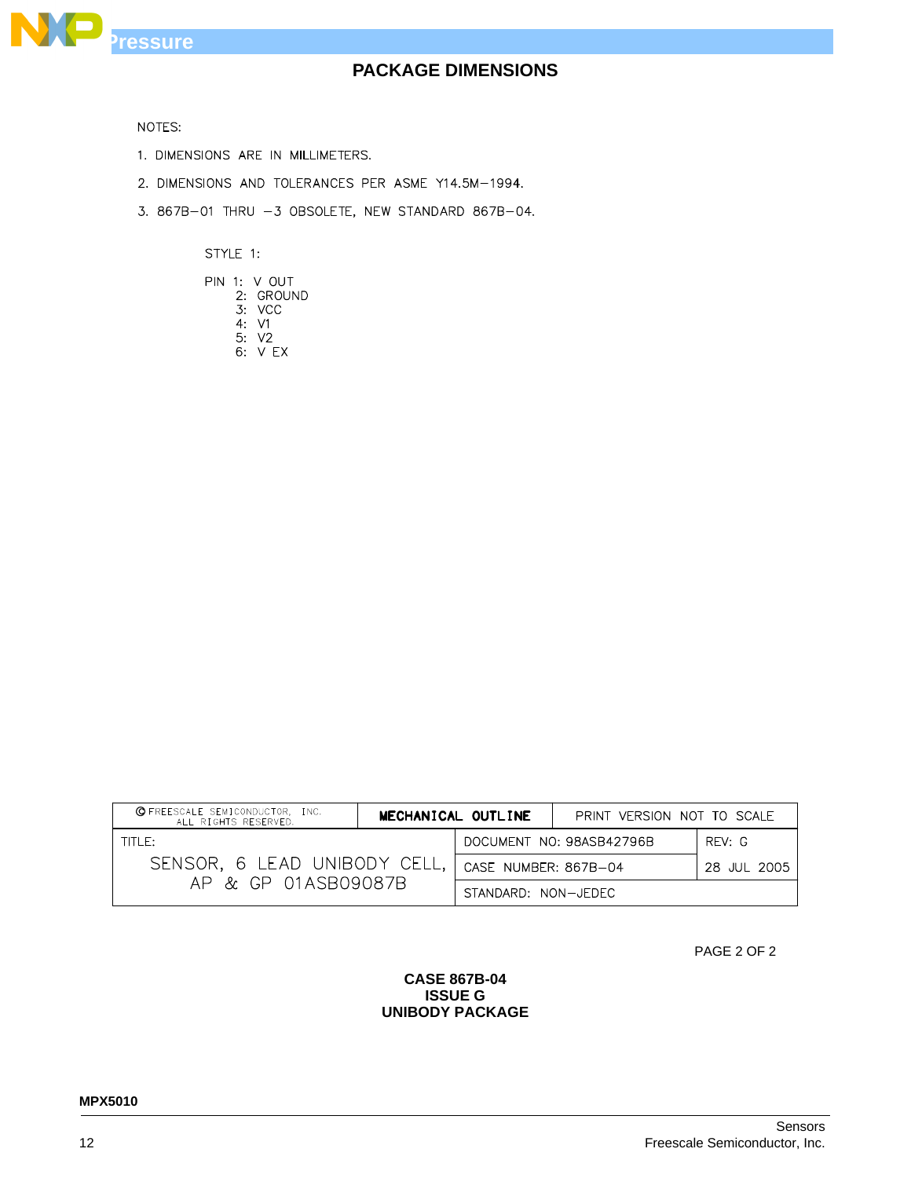

NOTES:

- 1. DIMENSIONS ARE IN MILLIMETERS.
- 2. DIMENSIONS AND TOLERANCES PER ASME Y14.5M-1994.
- 3. 867B-01 THRU -3 OBSOLETE, NEW STANDARD 867B-04.

STYLE 1:

|  | PIN 1: V OUT |
|--|--------------|
|  | 2: GROUND    |
|  | 3: VCC       |
|  | 4:V1         |
|  | 5: V2        |
|  | 6. VFX       |

| <b>Q</b> FREESCALE SEMICONDUCTOR, INC.<br>ALL RIGHTS RESERVED. | MECHANICAL OUTLINE                  |  | PRINT VERSION NOT TO SCALE |       |
|----------------------------------------------------------------|-------------------------------------|--|----------------------------|-------|
| TITIF:                                                         |                                     |  | DOCUMENT NO: 98ASB42796B   | RFV:G |
| SENSOR, 6 LEAD UNIBODY CELL.                                   | CASE NUMBER: 867B-04<br>28 JUL 2005 |  |                            |       |
| AP & GP 01ASB09087B                                            | STANDARD: NON-JEDEC                 |  |                            |       |

PAGE 2 OF 2

### **CASE 867B-04 ISSUE G UNIBODY PACKAGE**

Sensors 12 Freescale Semiconductor, Inc.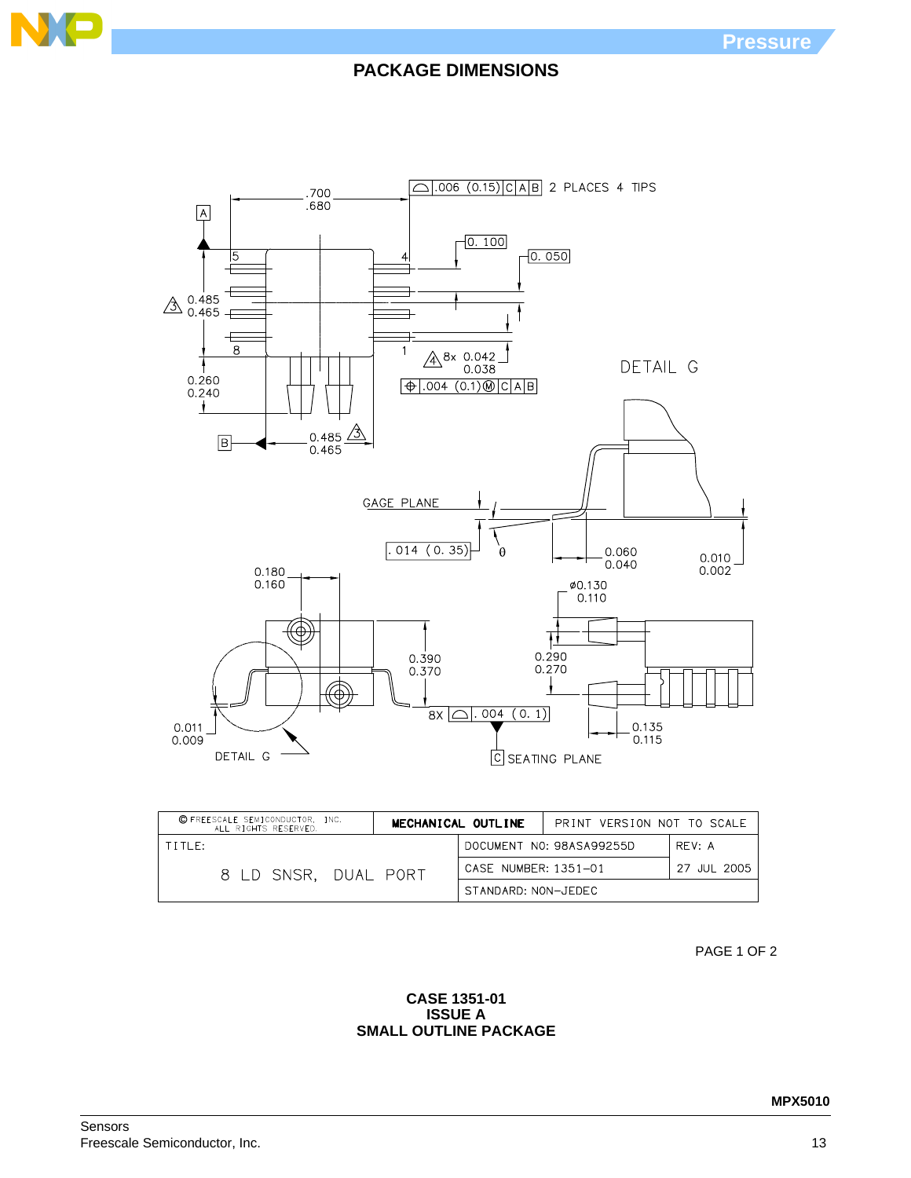



| C FREESCALE SEMICONDUCTOR, INC.<br>MECHANICAL OUTLINE<br>ALL RIGHTS RESERVED. |  |                      | PRINT VERSION NOT TO SCALE |             |
|-------------------------------------------------------------------------------|--|----------------------|----------------------------|-------------|
| TITIF:                                                                        |  |                      | DOCUMENT NO: 98ASA99255D   | RFV: A      |
| 8 LD SNSR. DUAL PORT                                                          |  | CASE NUMBER: 1351-01 |                            | 27 JUL 2005 |
|                                                                               |  | STANDARD: NON-JEDEC  |                            |             |

PAGE 1 OF 2

### **CASE 1351-01 ISSUE A SMALL OUTLINE PACKAGE**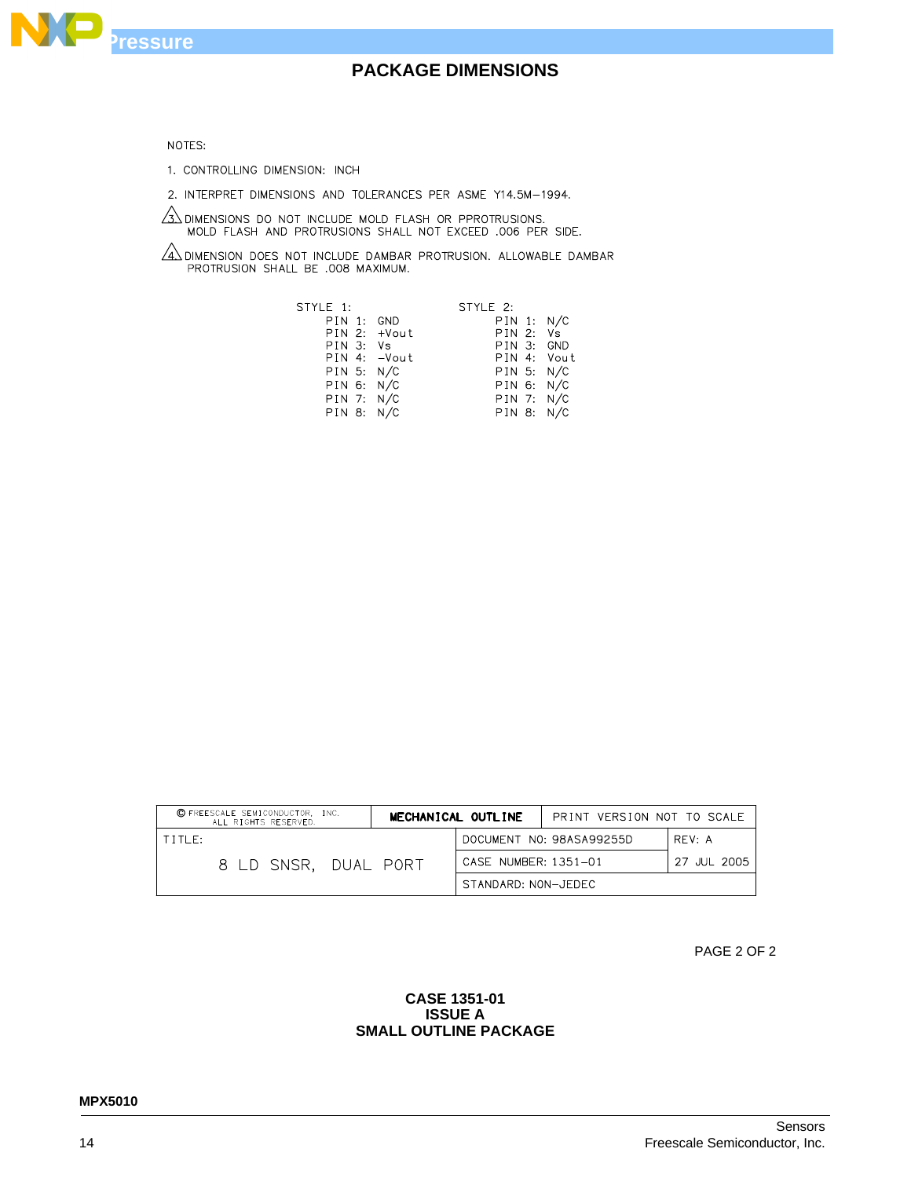

#### NOTES:

1. CONTROLLING DIMENSION: INCH

2. INTERPRET DIMENSIONS AND TOLERANCES PER ASME Y14.5M-1994.

 $\sqrt{3}$  dimensions do not include mold flash or pprotrusions.<br>MOLD FLASH AND PROTRUSIONS SHALL NOT EXCEED .006 PER SIDE.

 $\sqrt{4}$  dimension does not include dambar protrusion. Allowable dambar protrusion shall be .008 maximum.

| STYLE 1:       | STYLE 2:    |  |
|----------------|-------------|--|
| PIN 1: GND     | PIN 1: N/C  |  |
| $PIN 2: +Vout$ | PIN 2: Vs   |  |
| PIN 3: Vs      | PIN 3: GND  |  |
| PIN 4: - Vout  | PIN 4: Vout |  |
| PIN 5: N/C     | PIN 5: N/C  |  |
| PIN 6: N/C     | PIN 6: N/C  |  |
| PIN 7: N/C     | PIN 7: N/C  |  |
| PIN 8: N/C     | PIN 8: N/C  |  |

| C FREESCALE SEMICONDUCTOR. INC.<br>ALL RIGHTS RESERVED. | MECHANICAL OUTLINE   | PRINT VERSION NOT TO SCALE |             |
|---------------------------------------------------------|----------------------|----------------------------|-------------|
| TITIF:                                                  |                      | DOCUMENT NO: 98ASA99255D   | RFV: A      |
| 8 LD SNSR, DUAL PORT                                    | CASE NUMBER: 1351-01 |                            | 27 JUL 2005 |
|                                                         | STANDARD: NON-JEDEC  |                            |             |

PAGE 2 OF 2

### **CASE 1351-01 ISSUE A SMALL OUTLINE PACKAGE**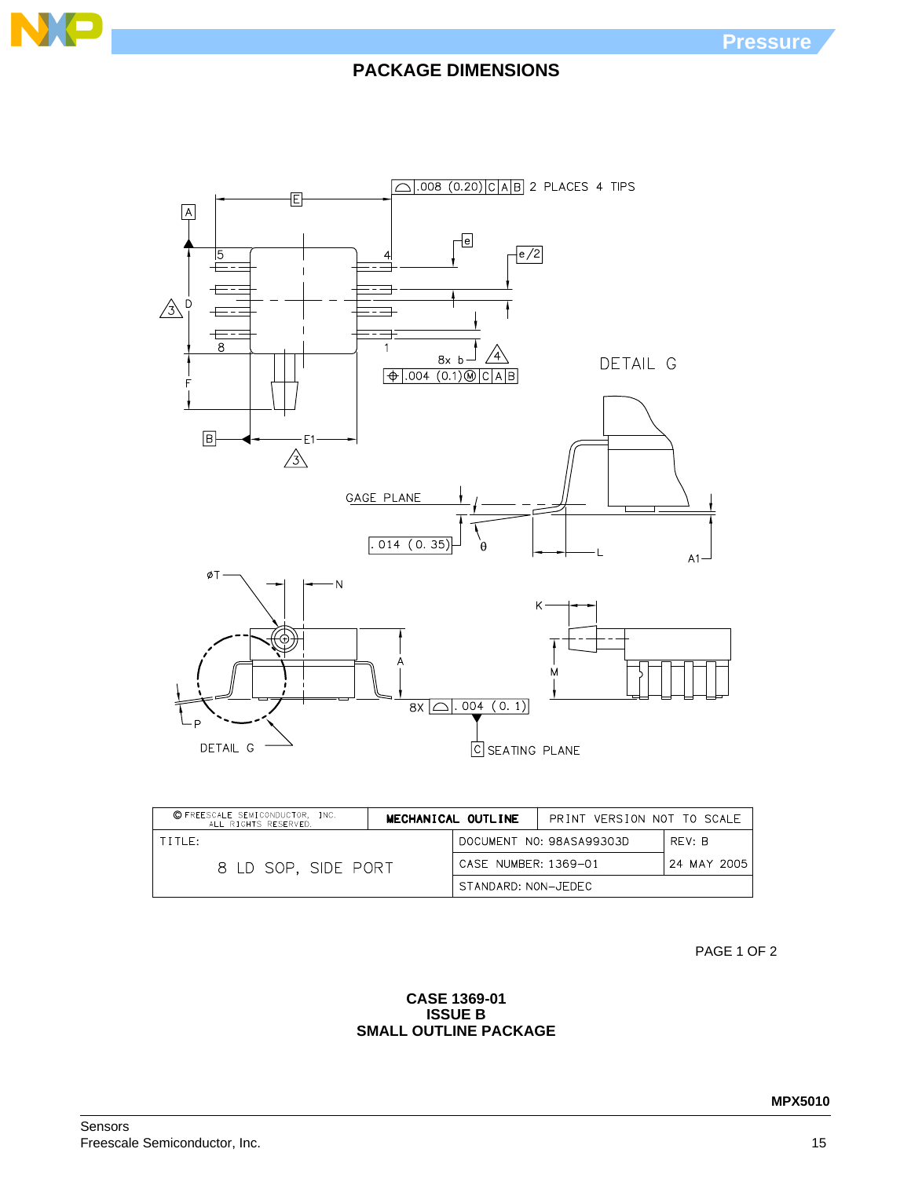



| C FREESCALE SEMICONDUCTOR, INC.<br>MECHANICAL OUTLINE<br>ALL RIGHTS RESERVED. |  |                      | PRINT VERSION NOT TO SCALE |             |
|-------------------------------------------------------------------------------|--|----------------------|----------------------------|-------------|
| TITLE:                                                                        |  |                      | DOCUMENT NO: 98ASA99303D   | RFV: B      |
| 8 LD SOP. SIDE PORT                                                           |  | CASE NUMBER: 1369-01 |                            | 24 MAY 2005 |
|                                                                               |  | STANDARD: NON-JEDEC  |                            |             |

PAGE 1 OF 2

### **CASE 1369-01 ISSUE B SMALL OUTLINE PACKAGE**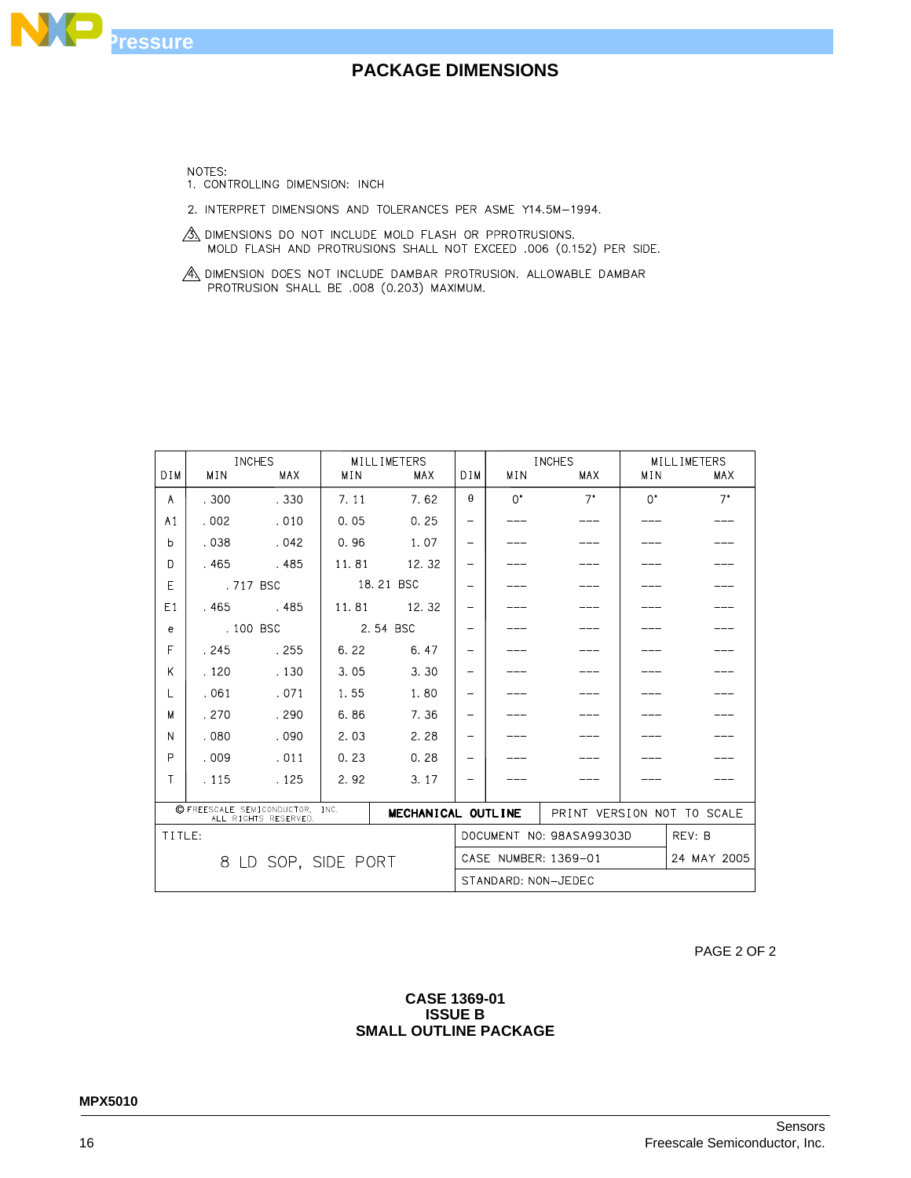

### **CASE 1369-01 ISSUE B SMALL OUTLINE PACKAGE**

PAGE 2 OF 2

|                                                                                  |            | <b>INCHES</b> |       | MILLIMETERS |                          | <b>INCHES</b>            |                     | MILLIMETERS                |             |
|----------------------------------------------------------------------------------|------------|---------------|-------|-------------|--------------------------|--------------------------|---------------------|----------------------------|-------------|
| DIM                                                                              | <b>MIN</b> | <b>MAX</b>    | MIN   | MAX         | D I M                    | MIN                      | <b>MAX</b>          | MIN                        | <b>MAX</b>  |
| A                                                                                | .300       | .330          | 7.11  | 7.62        | $\theta$                 | $\Omega^{\bullet}$       | $7^{\circ}$         | $\Omega^{\bullet}$         | $7^{\circ}$ |
| A <sub>1</sub>                                                                   | .002       | .010          | 0.05  | 0.25        | $\overline{\phantom{m}}$ |                          |                     |                            |             |
| b                                                                                | .038       | .042          | 0.96  | 1.07        | $\qquad \qquad$          |                          |                     |                            |             |
| D                                                                                | .465       | .485          | 11.81 | 12.32       | -                        |                          |                     |                            |             |
| E                                                                                |            | .717 BSC      |       | 18.21 BSC   | $\overline{\phantom{0}}$ |                          |                     |                            |             |
| E1                                                                               | .465       | .485          | 11.81 | 12.32       | $\overline{\phantom{0}}$ |                          |                     |                            |             |
| e                                                                                |            | .100 BSC      |       | 2.54 BSC    | $\overline{\phantom{0}}$ |                          |                     |                            |             |
| F                                                                                | .245       | .255          | 6.22  | 6.47        | $\qquad \qquad -$        |                          |                     |                            |             |
| K                                                                                | .120       | .130          | 3.05  | 3.30        | -                        |                          |                     |                            |             |
| L                                                                                | .061       | .071          | 1.55  | 1.80        | $\overline{\phantom{0}}$ |                          |                     |                            |             |
| М                                                                                | .270       | . 290         | 6.86  | 7.36        | $\overline{\phantom{0}}$ |                          |                     |                            |             |
| N                                                                                | .080       | .090          | 2.03  | 2.28        | $\qquad \qquad -$        |                          |                     |                            |             |
| P                                                                                | .009       | .011          | 0.23  | 0.28        | $\overline{\phantom{0}}$ |                          |                     |                            |             |
| Τ                                                                                | . 115      | .125          | 2.92  | 3.17        | $\overline{\phantom{m}}$ |                          |                     |                            |             |
| C FREESCALE SEMICONDUCTOR,<br>INC.<br>MECHANICAL OUTLINE<br>ALL RIGHTS RESERVED. |            |               |       |             |                          |                          |                     | PRINT VERSION NOT TO SCALE |             |
| TITLE:                                                                           |            |               |       |             |                          | DOCUMENT NO: 98ASA99303D |                     | REV: B                     |             |
| LD SOP, SIDE PORT<br>8                                                           |            |               |       |             |                          | CASE NUMBER: 1369-01     |                     | 24 MAY 2005                |             |
|                                                                                  |            |               |       |             |                          |                          | STANDARD: NON-JEDEC |                            |             |

 $\mathcal{B}_\lambda$  dimensions do not include mold flash or pprotrusions. MOLD FLASH AND PROTRUSIONS SHALL NOT EXCEED .006 (0.152) PER SIDE.

2. INTERPRET DIMENSIONS AND TOLERANCES PER ASME Y14.5M-1994.

A DIMENSION DOES NOT INCLUDE DAMBAR PROTRUSION. ALLOWABLE DAMBAR PROTRUSION SHALL BE .008 (0.203) MAXIMUM.

NOTES:

**Pressure**

NO

1. CONTROLLING DIMENSION: INCH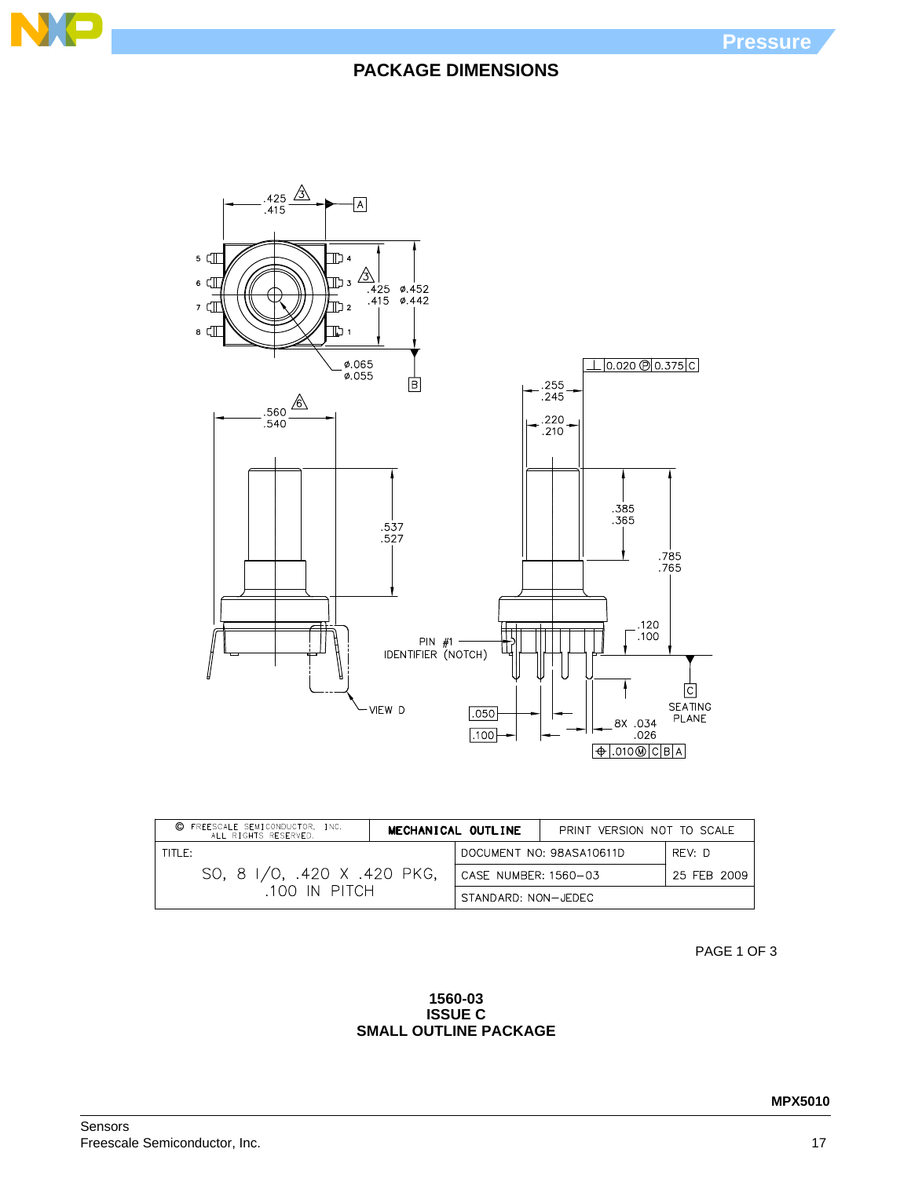



| C FREESCALE SEMICONDUCTOR, INC.<br>ALL RIGHTS RESERVED. | MECHANICAL OUTLINE  |                                    | PRINT VERSION NOT TO SCALE |             |
|---------------------------------------------------------|---------------------|------------------------------------|----------------------------|-------------|
| $TITIF^+$<br>SO, 8 I/O, .420 X .420 PKG,                |                     | DOCUMENT NO: 98ASA10611D<br>REV: D |                            |             |
|                                                         |                     | CASE NUMBER: 1560-03               |                            | 25 FEB 2009 |
| 100 IN PITCH                                            | STANDARD: NON-JEDEC |                                    |                            |             |

PAGE 1 OF 3

### **1560-03 ISSUE C SMALL OUTLINE PACKAGE**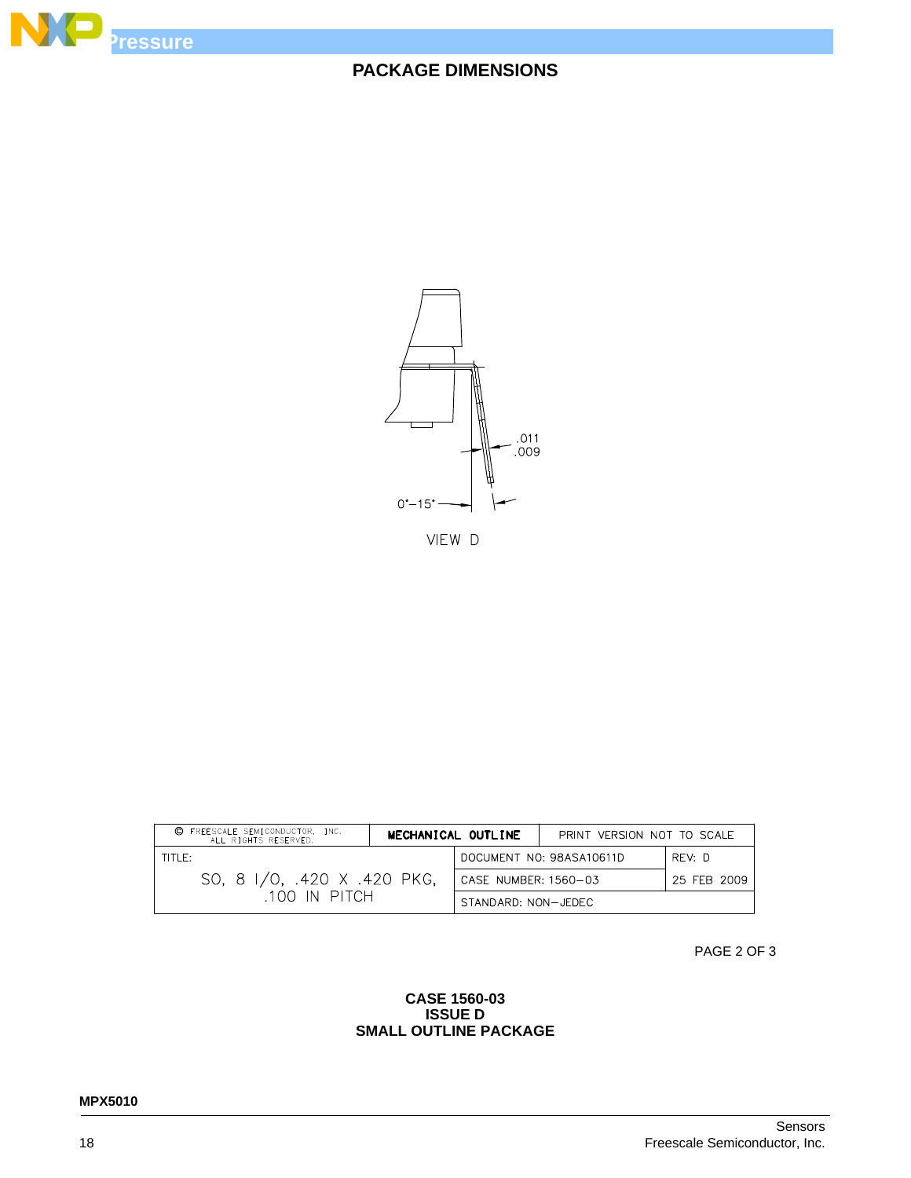



VIEW D

| C FREESCALE SEMICONDUCTOR, INC.<br>ALL RIGHTS RESERVED. | MECHANICAL OUTLINE |                                    | PRINT VERSION NOT TO SCALE |             |
|---------------------------------------------------------|--------------------|------------------------------------|----------------------------|-------------|
| TITLE:<br>SO, 8 I/O, .420 X .420 PKG,<br>100 IN PITCH   |                    | DOCUMENT NO: 98ASA10611D<br>RFV: D |                            |             |
|                                                         |                    | CASE NUMBER: 1560-03               |                            | 25 FEB 2009 |
|                                                         |                    | STANDARD: NON-JEDEC                |                            |             |

PAGE 2 OF 3

### **CASE 1560-03 ISSUE D SMALL OUTLINE PACKAGE**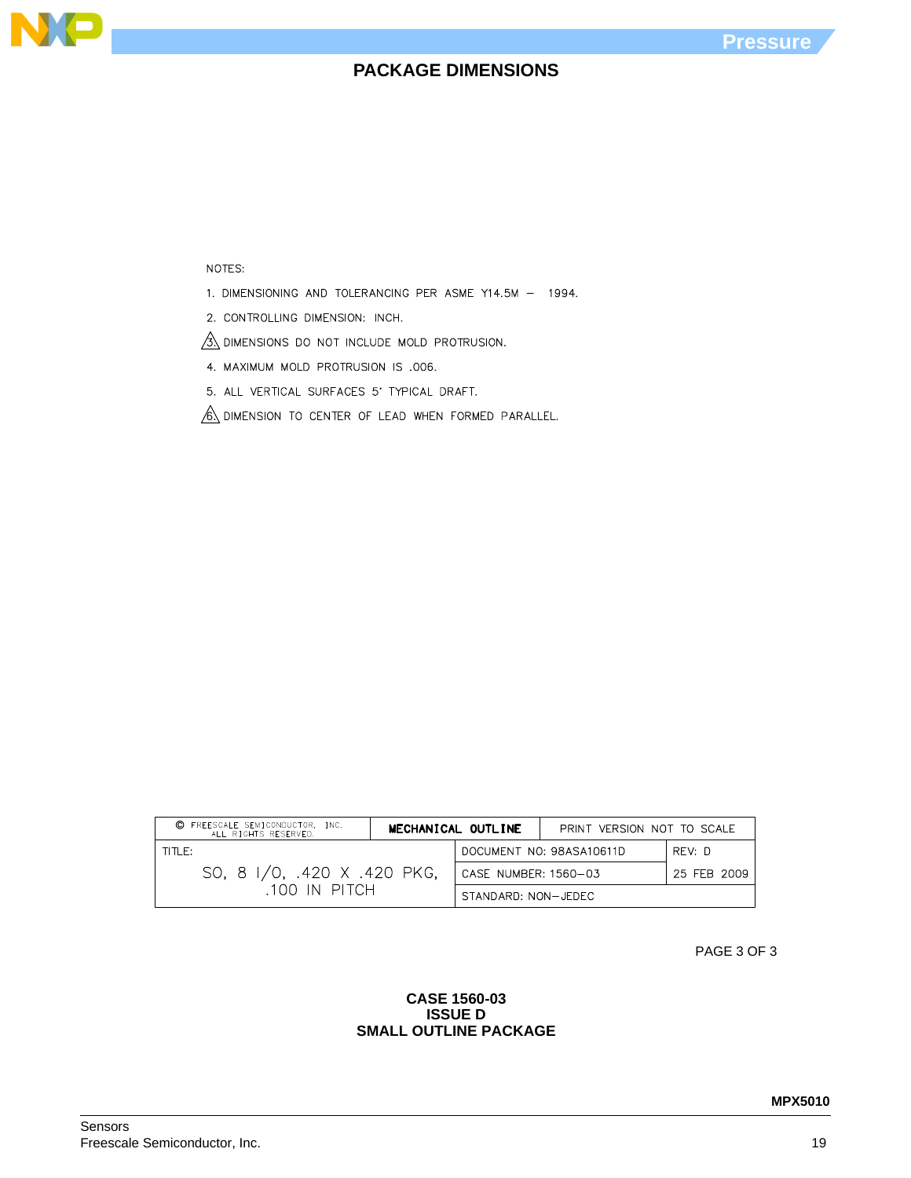

#### NOTES:

N

1. DIMENSIONING AND TOLERANCING PER ASME Y14.5M - 1994.

2. CONTROLLING DIMENSION: INCH.

 $\frac{3}{3}$  dimensions do not include mold protrusion.

4. MAXIMUM MOLD PROTRUSION IS .006.

5. ALL VERTICAL SURFACES 5' TYPICAL DRAFT.

 $\sqrt{6}$  dimension to center of lead when formed parallel.

| C FREESCALE SEMICONDUCTOR, INC.<br>ALL RIGHTS RESERVED. | MECHANICAL OUTLINE   |  | PRINT VERSION NOT TO SCALE |        |
|---------------------------------------------------------|----------------------|--|----------------------------|--------|
| TITLE:                                                  |                      |  | DOCUMENT NO: 98ASA10611D   | RFV: D |
| SO, 8 I/O, .420 X .420 PKG,                             | CASE NUMBER: 1560-03 |  | 25 FEB 2009                |        |
| .100 IN PITCH                                           | STANDARD: NON-JEDEC  |  |                            |        |

PAGE 3 OF 3

### **CASE 1560-03 ISSUE D SMALL OUTLINE PACKAGE**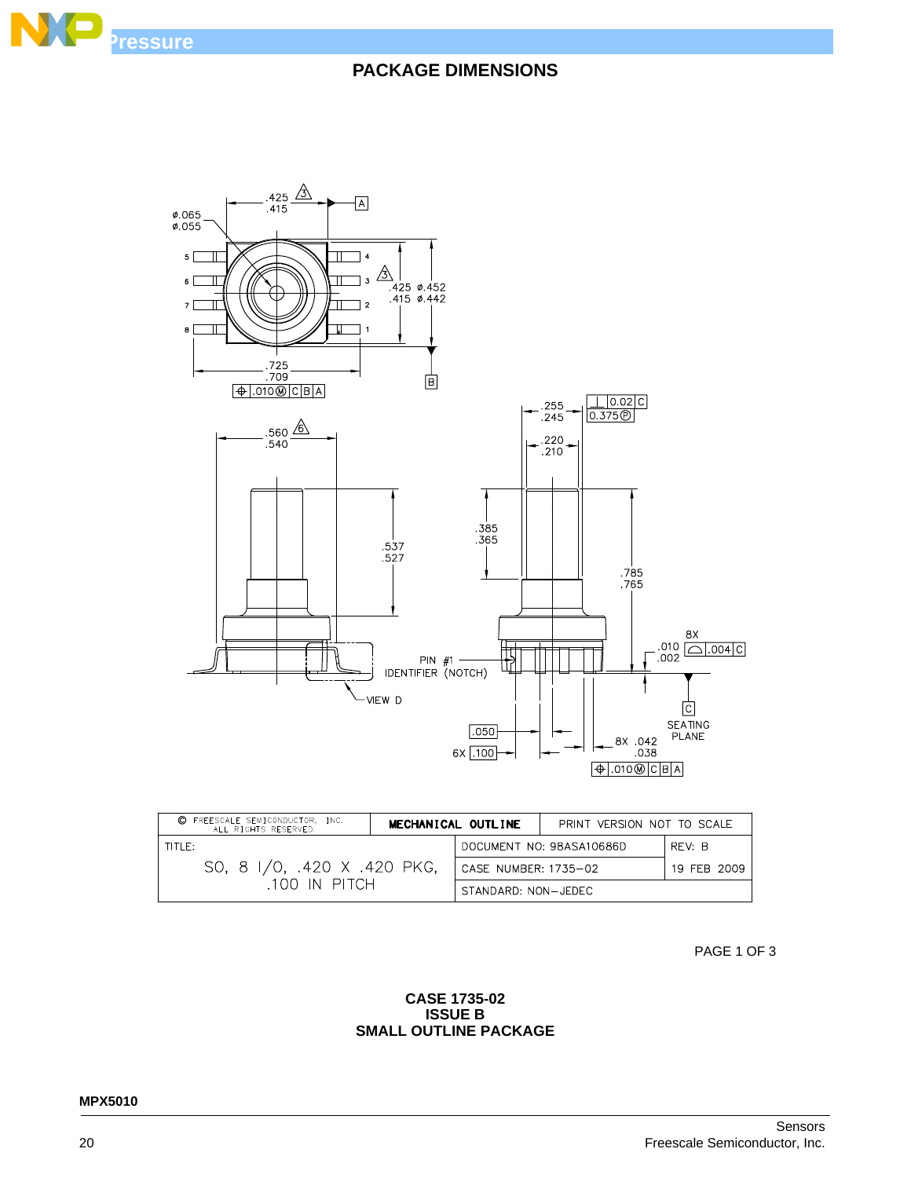



| FREESCALE SEMICONDUCTOR, INC.<br>©<br>ALL RIGHTS RESERVED. | MECHANICAL OUTLINE |                                    | PRINT VERSION NOT TO SCALE |             |
|------------------------------------------------------------|--------------------|------------------------------------|----------------------------|-------------|
| TITI E:<br>SO, 8 I/O, .420 X .420 PKG,<br>.100 IN PITCH    |                    | DOCUMENT NO: 98ASA10686D<br>RFV: B |                            |             |
|                                                            |                    | CASE NUMBER: 1735-02               |                            | 19 FFB 2009 |
|                                                            |                    | STANDARD: NON-JEDEC                |                            |             |

PAGE 1 OF 3

### **CASE 1735-02 ISSUE B SMALL OUTLINE PACKAGE**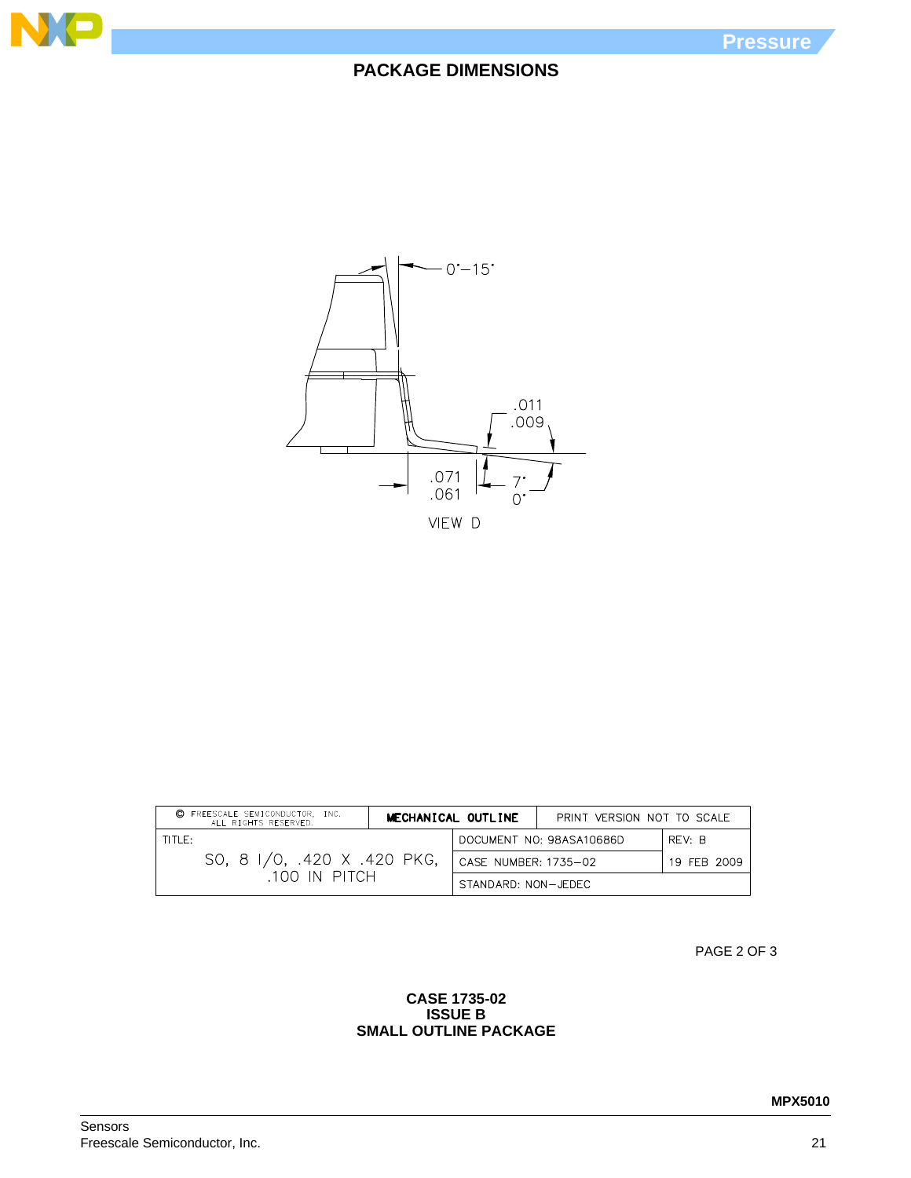



| FREESCALE SEMICONDUCTOR, INC.<br>©<br>ALL RIGHTS RESERVED. | MECHANICAL OUTLINE |                      | PRINT VERSION NOT TO SCALE |             |
|------------------------------------------------------------|--------------------|----------------------|----------------------------|-------------|
| TITLE:<br>SO, 8 I/O, .420 X .420 PKG,<br>.100 IN PITCH     |                    |                      | DOCUMENT NO: 98ASA10686D   | RFV: R      |
|                                                            |                    | CASE NUMBER: 1735-02 |                            | 19 FEB 2009 |
|                                                            |                    | STANDARD: NON-JEDEC  |                            |             |

PAGE 2 OF 3

### **CASE 1735-02 ISSUE B SMALL OUTLINE PACKAGE**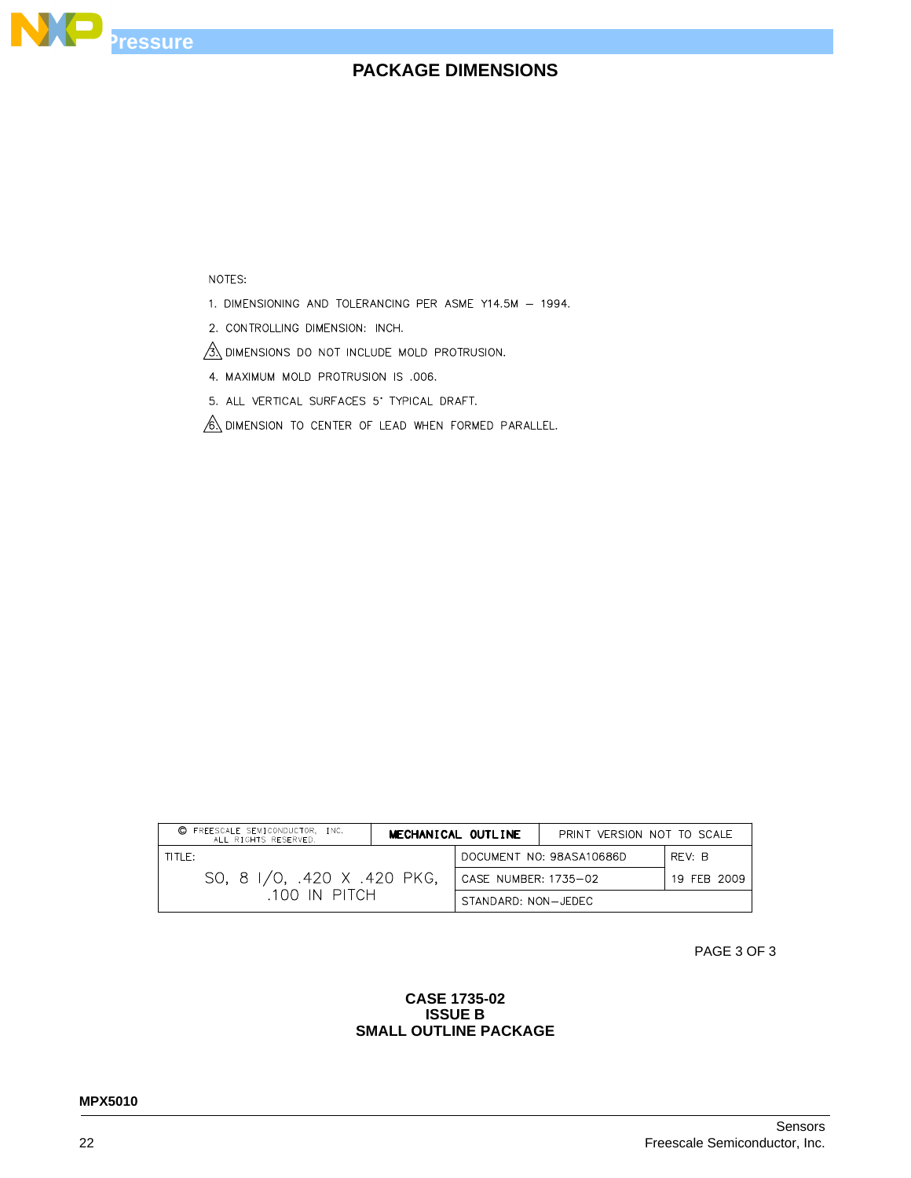

### NOTES:

- 1. DIMENSIONING AND TOLERANCING PER ASME Y14.5M 1994.
- 2. CONTROLLING DIMENSION: INCH.

 $\frac{1}{3}$  dimensions do not include mold protrusion.

- 4. MAXIMUM MOLD PROTRUSION IS .006.
- 5. ALL VERTICAL SURFACES 5' TYPICAL DRAFT.
- $\sqrt{6}$  dimension to center of lead when formed parallel.

| FREESCALE SEMICONDUCTOR, INC.<br>O.<br>ALL RIGHTS RESERVED. |                      | MECHANICAL OUTLINE       | PRINT VERSION NOT TO SCALE |  |
|-------------------------------------------------------------|----------------------|--------------------------|----------------------------|--|
| TITLE:                                                      |                      | DOCUMENT NO: 98ASA10686D | RFV: B                     |  |
| SO, 8 I/O, .420 X .420 PKG,                                 | CASE NUMBER: 1735-02 |                          | 19 FFB 2009                |  |
| .100 IN PITCH                                               | STANDARD: NON-JEDEC  |                          |                            |  |

PAGE 3 OF 3

### **CASE 1735-02 ISSUE B SMALL OUTLINE PACKAGE**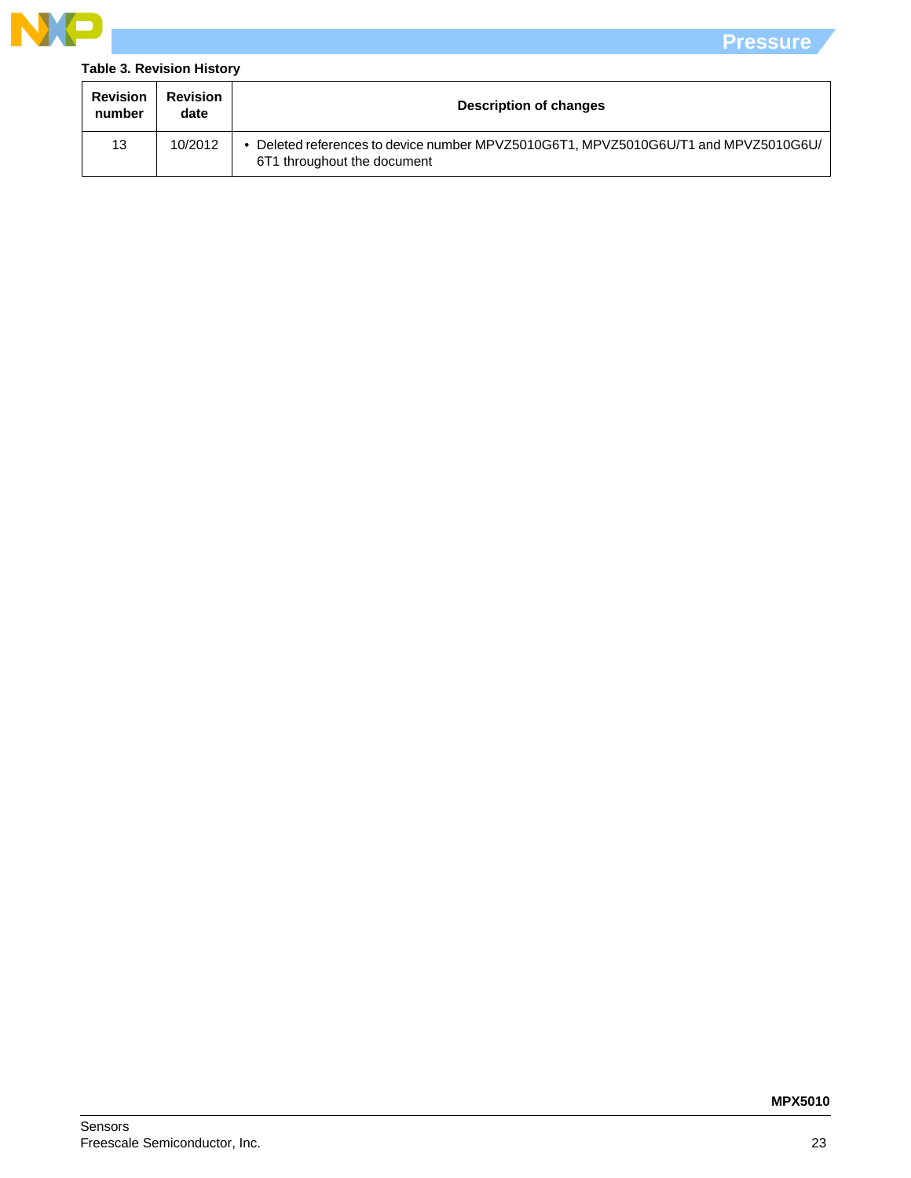

### **Table 3. Revision History**

| <b>Revision</b><br>number | <b>Revision</b><br>date | <b>Description of changes</b>                                                                                      |
|---------------------------|-------------------------|--------------------------------------------------------------------------------------------------------------------|
| 13                        | 10/2012                 | • Deleted references to device number MPVZ5010G6T1, MPVZ5010G6U/T1 and MPVZ5010G6U/<br>6T1 throughout the document |